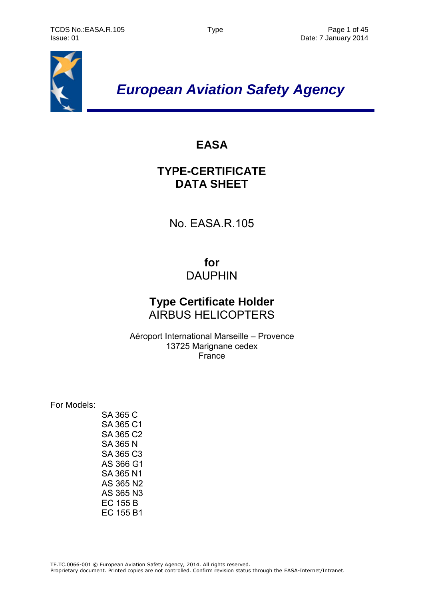

# *European Aviation Safety Agency*

# **EASA**

# **TYPE-CERTIFICATE DATA SHEET**

# No. EASA.R.105

# **for** DAUPHIN

# **Type Certificate Holder** AIRBUS HELICOPTERS

Aéroport International Marseille – Provence 13725 Marignane cedex France

For Models:

SA 365 C SA 365 C1 SA 365 C2 SA 365 N SA 365 C3 AS 366 G1 SA 365 N1 AS 365 N2 AS 365 N3 EC 155 B EC 155 B1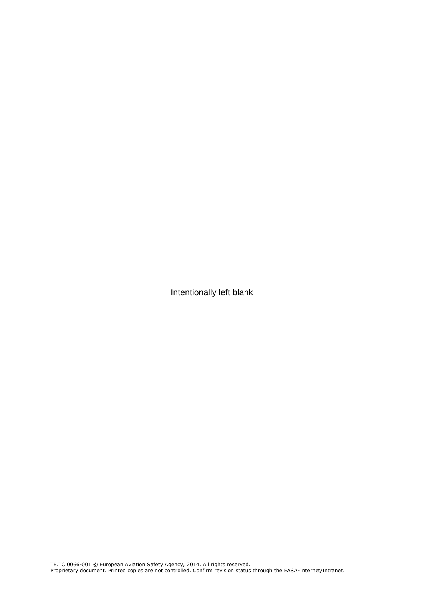Intentionally left blank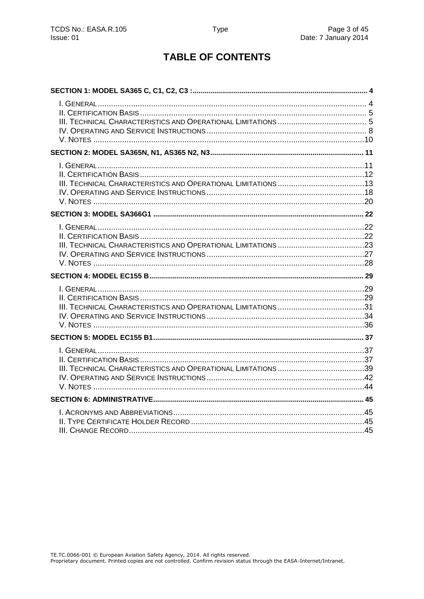# **TABLE OF CONTENTS**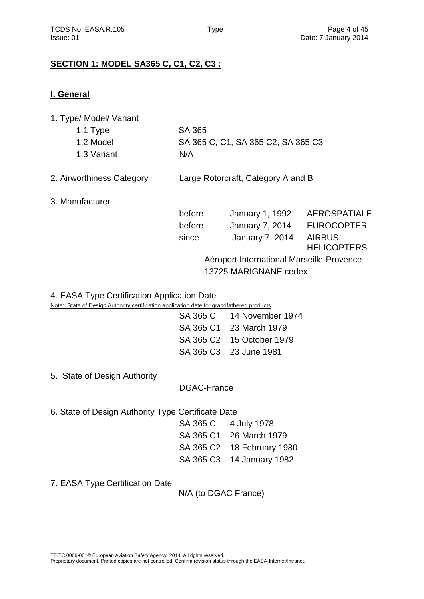# <span id="page-3-0"></span>**SECTION 1: MODEL SA365 C, C1, C2, C3 :**

#### <span id="page-3-1"></span>**I. General**

| 1. Type/ Model/ Variant |                                    |
|-------------------------|------------------------------------|
| 1.1 Type                | SA 365                             |
| 1.2 Model               | SA 365 C, C1, SA 365 C2, SA 365 C3 |
| 1.3 Variant             | N/A                                |

- 2. Airworthiness Category Large Rotorcraft, Category A and B
- 3. Manufacturer

|                                           | before | January 1, 1992        | <b>AEROSPATIALE</b>                 |
|-------------------------------------------|--------|------------------------|-------------------------------------|
|                                           | before | <b>January 7, 2014</b> | <b>EUROCOPTER</b>                   |
|                                           | since  | <b>January 7, 2014</b> | <b>AIRBUS</b><br><b>HELICOPTERS</b> |
| Aéroport International Marseille-Provence |        |                        |                                     |
| 13725 MARIGNANE cedex                     |        |                        |                                     |

#### 4. EASA Type Certification Application Date

Note: State of Design Authority certification application date for grandfathered products

| SA 365 C  | 14 November 1974          |
|-----------|---------------------------|
| SA 365 C1 | 23 March 1979             |
|           | SA 365 C2 15 October 1979 |
|           | SA 365 C3 23 June 1981    |
|           |                           |

5. State of Design Authority

DGAC-France

6. State of Design Authority Type Certificate Date

| SA 365 C  | 4 July 1978                |
|-----------|----------------------------|
| SA 365 C1 | 26 March 1979              |
|           | SA 365 C2 18 February 1980 |
|           | SA 365 C3 14 January 1982  |

<span id="page-3-2"></span>7. EASA Type Certification Date

N/A (to DGAC France)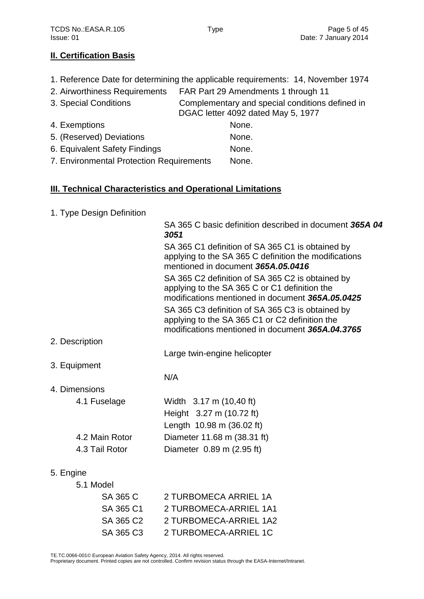# **II. Certification Basis**

- 1. Reference Date for determining the applicable requirements: 14, November 1974
- 2. Airworthiness Requirements FAR Part 29 Amendments 1 through 11
- 3. Special Conditions Complementary and special conditions defined in DGAC letter 4092 dated May 5, 1977
- 4. Exemptions None. 5. (Reserved) Deviations **None.** None.
- 6. Equivalent Safety Findings None. 7. Environmental Protection Requirements None.

# <span id="page-4-0"></span>**III. Technical Characteristics and Operational Limitations**

| 1. Type Design Definition |                                                                                                                                                        |
|---------------------------|--------------------------------------------------------------------------------------------------------------------------------------------------------|
|                           | SA 365 C basic definition described in document 365A 04<br>3051                                                                                        |
|                           | SA 365 C1 definition of SA 365 C1 is obtained by<br>applying to the SA 365 C definition the modifications<br>mentioned in document 365A.05.0416        |
|                           | SA 365 C2 definition of SA 365 C2 is obtained by<br>applying to the SA 365 C or C1 definition the<br>modifications mentioned in document 365A.05.0425  |
|                           | SA 365 C3 definition of SA 365 C3 is obtained by<br>applying to the SA 365 C1 or C2 definition the<br>modifications mentioned in document 365A.04.3765 |
| 2. Description            |                                                                                                                                                        |
|                           | Large twin-engine helicopter                                                                                                                           |
| 3. Equipment              |                                                                                                                                                        |
|                           | N/A                                                                                                                                                    |
| 4. Dimensions             |                                                                                                                                                        |
| 4.1 Fuselage              | Width 3.17 m (10,40 ft)                                                                                                                                |
|                           | Height 3.27 m (10.72 ft)                                                                                                                               |
|                           | Length 10.98 m (36.02 ft)                                                                                                                              |
| 4.2 Main Rotor            | Diameter 11.68 m (38.31 ft)                                                                                                                            |
| 4.3 Tail Rotor            | Diameter 0.89 m (2.95 ft)                                                                                                                              |
| 5. Engine                 |                                                                                                                                                        |
| 5.1 Model                 |                                                                                                                                                        |
| SA 365 C                  | 2 TURBOMECA ARRIEL 1A                                                                                                                                  |
| SA 365 C1                 | 2 TURBOMECA-ARRIEL 1A1                                                                                                                                 |
| SA 365 C2                 | 2 TURBOMECA-ARRIEL 1A2                                                                                                                                 |
| SA 365 C3                 | 2 TURBOMECA-ARRIEL 1C                                                                                                                                  |

TE.TC.0066-001© European Aviation Safety Agency, 2014. All rights reserved.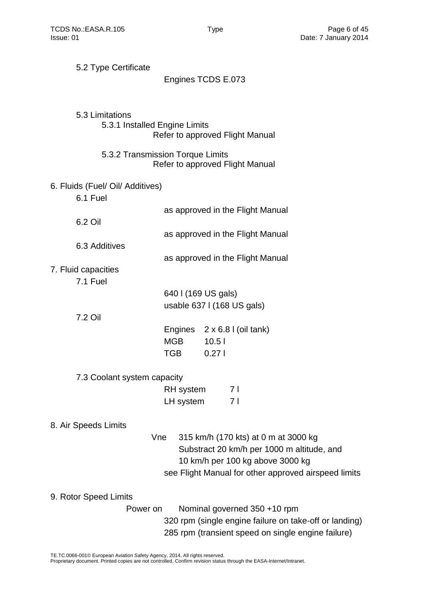| 5.2 Type Certificate<br>Engines TCDS E.073                                                                                                                                            |  |  |
|---------------------------------------------------------------------------------------------------------------------------------------------------------------------------------------|--|--|
| 5.3 Limitations<br>5.3.1 Installed Engine Limits<br>Refer to approved Flight Manual                                                                                                   |  |  |
| 5.3.2 Transmission Torque Limits<br>Refer to approved Flight Manual                                                                                                                   |  |  |
| 6. Fluids (Fuel/ Oil/ Additives)<br>6.1 Fuel                                                                                                                                          |  |  |
| as approved in the Flight Manual<br>6.2 Oil                                                                                                                                           |  |  |
| as approved in the Flight Manual<br>6.3 Additives                                                                                                                                     |  |  |
| as approved in the Flight Manual<br>7. Fluid capacities<br>7.1 Fuel                                                                                                                   |  |  |
| 640 I (169 US gals)<br>usable $6371(168 US gals)$                                                                                                                                     |  |  |
| 7.2 Oil<br>Engines $2 \times 6.8$ I (oil tank)<br><b>MGB</b><br>10.51<br><b>TGB</b><br>0.271                                                                                          |  |  |
| 7.3 Coolant system capacity<br>7 I<br><b>RH</b> system<br>LH system<br>7 I                                                                                                            |  |  |
| 8. Air Speeds Limits                                                                                                                                                                  |  |  |
| 315 km/h (170 kts) at 0 m at 3000 kg<br>Vne<br>Substract 20 km/h per 1000 m altitude, and<br>10 km/h per 100 kg above 3000 kg<br>see Flight Manual for other approved airspeed limits |  |  |
| 9. Rotor Speed Limits<br>Nominal governed 350 +10 rpm<br>Power on<br>320 rpm (single engine failure on take-off or landing)<br>285 rpm (transient speed on single engine failure)     |  |  |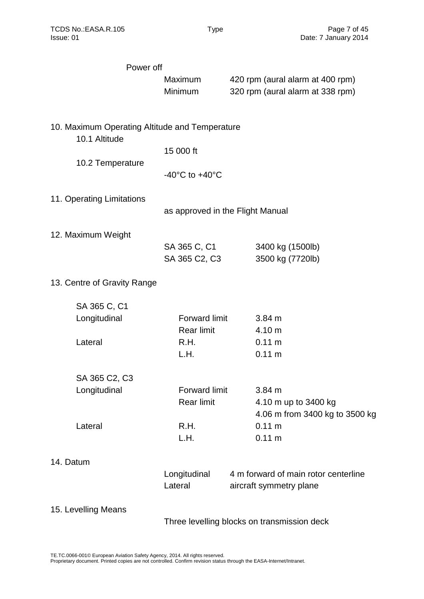| Power off                                                       |                                           |                                                                      |
|-----------------------------------------------------------------|-------------------------------------------|----------------------------------------------------------------------|
|                                                                 | Maximum<br>Minimum                        | 420 rpm (aural alarm at 400 rpm)<br>320 rpm (aural alarm at 338 rpm) |
| 10. Maximum Operating Altitude and Temperature<br>10.1 Altitude |                                           |                                                                      |
|                                                                 | 15 000 ft                                 |                                                                      |
| 10.2 Temperature                                                | -40 $^{\circ}$ C to +40 $^{\circ}$ C      |                                                                      |
| 11. Operating Limitations                                       |                                           |                                                                      |
|                                                                 | as approved in the Flight Manual          |                                                                      |
| 12. Maximum Weight                                              | SA 365 C, C1<br>SA 365 C2, C3             | 3400 kg (1500lb)<br>3500 kg (7720lb)                                 |
| 13. Centre of Gravity Range                                     |                                           |                                                                      |
| SA 365 C, C1<br>Longitudinal                                    | <b>Forward limit</b>                      | 3.84 m                                                               |
|                                                                 | <b>Rear limit</b>                         | 4.10 m                                                               |
| Lateral                                                         | R.H.                                      | 0.11 m                                                               |
|                                                                 | L.H.                                      | 0.11 m                                                               |
| SA 365 C2, C3                                                   |                                           |                                                                      |
| Longitudinal                                                    | <b>Forward limit</b><br><b>Rear limit</b> | $3.84$ m<br>4.10 m up to 3400 kg<br>4.06 m from 3400 kg to 3500 kg   |
| Lateral                                                         | R.H.                                      | 0.11 m                                                               |
|                                                                 | L.H.                                      | 0.11 m                                                               |
| 14. Datum                                                       |                                           |                                                                      |
|                                                                 | Longitudinal<br>Lateral                   | 4 m forward of main rotor centerline<br>aircraft symmetry plane      |
| 15. Levelling Means                                             |                                           | Three levelling blocks on transmission deck                          |

TE.TC.0066-001© European Aviation Safety Agency, 2014. All rights reserved.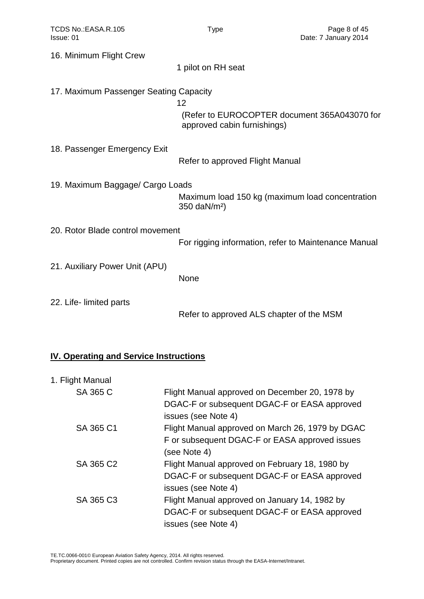| TCDS No.: EASA.R.105<br>Issue: 01      | <b>Type</b>                                                                       | Page 8 of 45<br>Date: 7 January 2014 |
|----------------------------------------|-----------------------------------------------------------------------------------|--------------------------------------|
| 16. Minimum Flight Crew                |                                                                                   |                                      |
|                                        | 1 pilot on RH seat                                                                |                                      |
| 17. Maximum Passenger Seating Capacity | 12<br>(Refer to EUROCOPTER document 365A043070 for<br>approved cabin furnishings) |                                      |
| 18. Passenger Emergency Exit           | Refer to approved Flight Manual                                                   |                                      |
| 19. Maximum Baggage/ Cargo Loads       | Maximum load 150 kg (maximum load concentration<br>350 daN/m <sup>2</sup> )       |                                      |
| 20. Rotor Blade control movement       | For rigging information, refer to Maintenance Manual                              |                                      |
| 21. Auxiliary Power Unit (APU)         | None                                                                              |                                      |
| 22. Life- limited parts                | Refer to approved ALS chapter of the MSM                                          |                                      |

# <span id="page-7-0"></span>**IV. Operating and Service Instructions**

| Flight Manual approved on December 20, 1978 by   |
|--------------------------------------------------|
| DGAC-F or subsequent DGAC-F or EASA approved     |
| issues (see Note 4)                              |
| Flight Manual approved on March 26, 1979 by DGAC |
| F or subsequent DGAC-F or EASA approved issues   |
| (see Note 4)                                     |
| Flight Manual approved on February 18, 1980 by   |
| DGAC-F or subsequent DGAC-F or EASA approved     |
| issues (see Note 4)                              |
| Flight Manual approved on January 14, 1982 by    |
| DGAC-F or subsequent DGAC-F or EASA approved     |
| issues (see Note 4)                              |
|                                                  |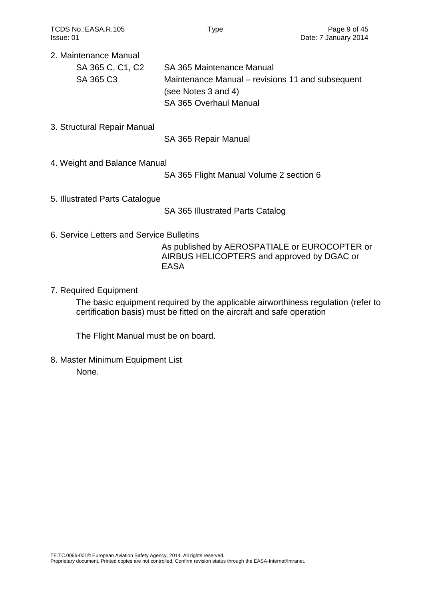| 2. Maintenance Manual |                                                  |
|-----------------------|--------------------------------------------------|
| SA 365 C, C1, C2      | SA 365 Maintenance Manual                        |
| SA 365 C3             | Maintenance Manual – revisions 11 and subsequent |
|                       | (see Notes 3 and 4)                              |
|                       | <b>SA 365 Overhaul Manual</b>                    |

3. Structural Repair Manual

SA 365 Repair Manual

4. Weight and Balance Manual

SA 365 Flight Manual Volume 2 section 6

5. Illustrated Parts Catalogue

SA 365 Illustrated Parts Catalog

6. Service Letters and Service Bulletins

As published by AEROSPATIALE or EUROCOPTER or AIRBUS HELICOPTERS and approved by DGAC or EASA

7. Required Equipment

The basic equipment required by the applicable airworthiness regulation (refer to certification basis) must be fitted on the aircraft and safe operation

The Flight Manual must be on board.

8. Master Minimum Equipment List

None.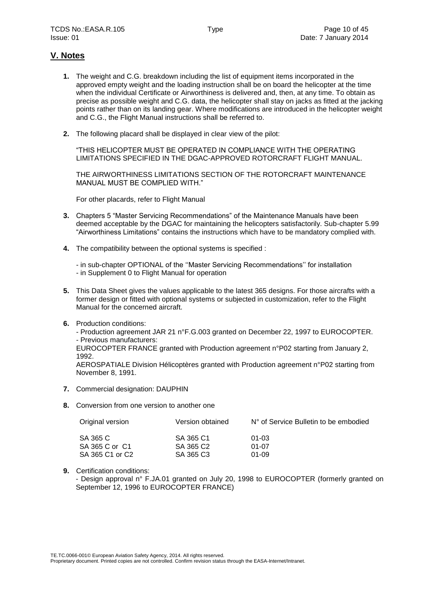# <span id="page-9-0"></span>**V. Notes**

- **1.** The weight and C.G. breakdown including the list of equipment items incorporated in the approved empty weight and the loading instruction shall be on board the helicopter at the time when the individual Certificate or Airworthiness is delivered and, then, at any time. To obtain as precise as possible weight and C.G. data, the helicopter shall stay on jacks as fitted at the jacking points rather than on its landing gear. Where modifications are introduced in the helicopter weight and C.G., the Flight Manual instructions shall be referred to.
- **2.** The following placard shall be displayed in clear view of the pilot:

"THIS HELICOPTER MUST BE OPERATED IN COMPLIANCE WITH THE OPERATING LIMITATIONS SPECIFIED IN THE DGAC-APPROVED ROTORCRAFT FLIGHT MANUAL.

THE AIRWORTHINESS LIMITATIONS SECTION OF THE ROTORCRAFT MAINTENANCE MANUAL MUST BE COMPLIED WITH."

For other placards, refer to Flight Manual

- **3.** Chapters 5 "Master Servicing Recommendations" of the Maintenance Manuals have been deemed acceptable by the DGAC for maintaining the helicopters satisfactorily. Sub-chapter 5.99 "Airworthiness Limitations" contains the instructions which have to be mandatory complied with.
- **4.** The compatibility between the optional systems is specified :

- in sub-chapter OPTIONAL of the ''Master Servicing Recommendations'' for installation - in Supplement 0 to Flight Manual for operation

- **5.** This Data Sheet gives the values applicable to the latest 365 designs. For those aircrafts with a former design or fitted with optional systems or subjected in customization, refer to the Flight Manual for the concerned aircraft.
- **6.** Production conditions:
	- Production agreement JAR 21 n°F.G.003 granted on December 22, 1997 to EUROCOPTER. - Previous manufacturers:

EUROCOPTER FRANCE granted with Production agreement n°P02 starting from January 2, 1992.

AEROSPATIALE Division Hélicoptères granted with Production agreement n°P02 starting from November 8, 1991.

- **7.** Commercial designation: DAUPHIN
- **8.** Conversion from one version to another one

| Original version | Version obtained      | N° of Service Bulletin to be embodied |
|------------------|-----------------------|---------------------------------------|
| SA 365 C         | SA 365 C1             | $01 - 03$                             |
| SA 365 C or C1   | SA 365 C <sub>2</sub> | $01 - 07$                             |
| SA 365 C1 or C2  | SA 365 C3             | $01 - 09$                             |

**9.** Certification conditions:

- Design approval n° F.JA.01 granted on July 20, 1998 to EUROCOPTER (formerly granted on September 12, 1996 to EUROCOPTER FRANCE)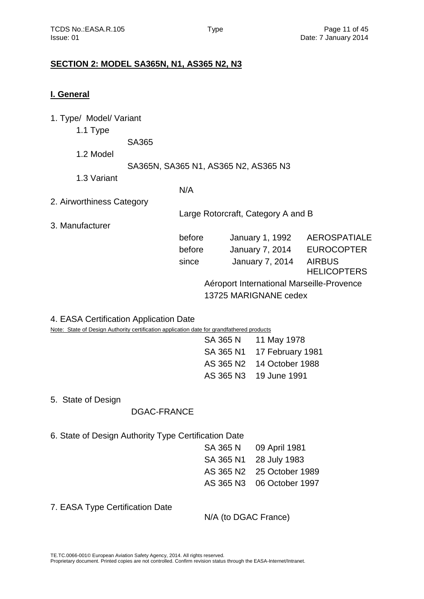#### <span id="page-10-0"></span>**SECTION 2: MODEL SA365N, N1, AS365 N2, N3**

#### <span id="page-10-1"></span>**I. General**

- 1. Type/ Model/ Variant
	- 1.1 Type

SA365

1.2 Model

SA365N, SA365 N1, AS365 N2, AS365 N3

1.3 Variant

N/A

2. Airworthiness Category

Large Rotorcraft, Category A and B

3. Manufacturer

| before                                    | January 1, 1992        | <b>AEROSPATIALE</b> |  |
|-------------------------------------------|------------------------|---------------------|--|
| before                                    | <b>January 7, 2014</b> | <b>EUROCOPTER</b>   |  |
| since                                     | <b>January 7, 2014</b> | <b>AIRBUS</b>       |  |
|                                           |                        | <b>HELICOPTERS</b>  |  |
| Aéroport International Marseille-Provence |                        |                     |  |

13725 MARIGNANE cedex

#### 4. EASA Certification Application Date

|  |  |  | Note: State of Design Authority certification application date for grandfathered products |  |
|--|--|--|-------------------------------------------------------------------------------------------|--|
|  |  |  |                                                                                           |  |

| SA 365 N  | 11 May 1978      |
|-----------|------------------|
| SA 365 N1 | 17 February 1981 |
| AS 365 N2 | 14 October 1988  |
| AS 365 N3 | 19 June 1991     |
|           |                  |

#### 5. State of Design

DGAC-FRANCE

6. State of Design Authority Type Certification Date

|  | SA 365 N 09 April 1981    |
|--|---------------------------|
|  | SA 365 N1 28 July 1983    |
|  | AS 365 N2 25 October 1989 |
|  | AS 365 N3 06 October 1997 |
|  |                           |

7. EASA Type Certification Date

N/A (to DGAC France)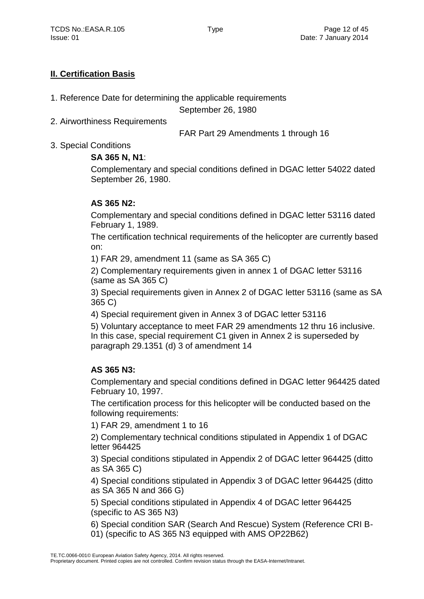# <span id="page-11-0"></span>**II. Certification Basis**

1. Reference Date for determining the applicable requirements

September 26, 1980

2. Airworthiness Requirements

FAR Part 29 Amendments 1 through 16

3. Special Conditions

# **SA 365 N, N1**:

Complementary and special conditions defined in DGAC letter 54022 dated September 26, 1980.

# **AS 365 N2:**

Complementary and special conditions defined in DGAC letter 53116 dated February 1, 1989.

The certification technical requirements of the helicopter are currently based on:

1) FAR 29, amendment 11 (same as SA 365 C)

2) Complementary requirements given in annex 1 of DGAC letter 53116 (same as SA 365 C)

3) Special requirements given in Annex 2 of DGAC letter 53116 (same as SA 365 C)

4) Special requirement given in Annex 3 of DGAC letter 53116

5) Voluntary acceptance to meet FAR 29 amendments 12 thru 16 inclusive. In this case, special requirement C1 given in Annex 2 is superseded by paragraph 29.1351 (d) 3 of amendment 14

# **AS 365 N3:**

Complementary and special conditions defined in DGAC letter 964425 dated February 10, 1997.

The certification process for this helicopter will be conducted based on the following requirements:

1) FAR 29, amendment 1 to 16

2) Complementary technical conditions stipulated in Appendix 1 of DGAC letter 964425

3) Special conditions stipulated in Appendix 2 of DGAC letter 964425 (ditto as SA 365 C)

4) Special conditions stipulated in Appendix 3 of DGAC letter 964425 (ditto as SA 365 N and 366 G)

5) Special conditions stipulated in Appendix 4 of DGAC letter 964425 (specific to AS 365 N3)

6) Special condition SAR (Search And Rescue) System (Reference CRI B-01) (specific to AS 365 N3 equipped with AMS OP22B62)

TE.TC.0066-001© European Aviation Safety Agency, 2014. All rights reserved. Proprietary document. Printed copies are not controlled. Confirm revision status through the EASA-Internet/Intranet.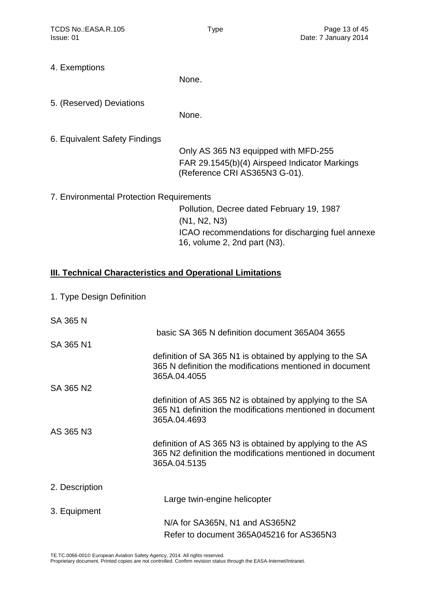4. Exemptions

None.

5. (Reserved) Deviations

None.

6. Equivalent Safety Findings

Only AS 365 N3 equipped with MFD-255 FAR 29.1545(b)(4) Airspeed Indicator Markings (Reference CRI AS365N3 G-01).

7. Environmental Protection Requirements

Pollution, Decree dated February 19, 1987 (N1, N2, N3) ICAO recommendations for discharging fuel annexe 16, volume 2, 2nd part (N3).

# <span id="page-12-0"></span>**III. Technical Characteristics and Operational Limitations**

1. Type Design Definition

| <b>SA 365 N</b> |                                                                                                                                        |
|-----------------|----------------------------------------------------------------------------------------------------------------------------------------|
|                 | basic SA 365 N definition document 365A04 3655                                                                                         |
| SA 365 N1       |                                                                                                                                        |
|                 | definition of SA 365 N1 is obtained by applying to the SA<br>365 N definition the modifications mentioned in document<br>365A.04.4055  |
| SA 365 N2       |                                                                                                                                        |
|                 | definition of AS 365 N2 is obtained by applying to the SA<br>365 N1 definition the modifications mentioned in document<br>365A.04.4693 |
| AS 365 N3       |                                                                                                                                        |
|                 | definition of AS 365 N3 is obtained by applying to the AS<br>365 N2 definition the modifications mentioned in document<br>365A.04.5135 |
| 2. Description  |                                                                                                                                        |
|                 | Large twin-engine helicopter                                                                                                           |
| 3. Equipment    |                                                                                                                                        |
|                 | N/A for SA365N, N1 and AS365N2                                                                                                         |
|                 | Refer to document 365A045216 for AS365N3                                                                                               |

TE.TC.0066-001© European Aviation Safety Agency, 2014. All rights reserved.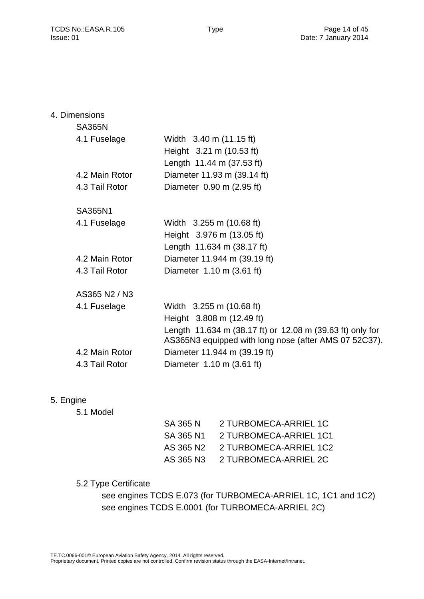| 4. Dimensions  |                                                                                                                    |
|----------------|--------------------------------------------------------------------------------------------------------------------|
| <b>SA365N</b>  |                                                                                                                    |
| 4.1 Fuselage   | Width 3.40 m (11.15 ft)                                                                                            |
|                | Height 3.21 m (10.53 ft)                                                                                           |
|                | Length 11.44 m (37.53 ft)                                                                                          |
| 4.2 Main Rotor | Diameter 11.93 m (39.14 ft)                                                                                        |
| 4.3 Tail Rotor | Diameter 0.90 m (2.95 ft)                                                                                          |
| SA365N1        |                                                                                                                    |
| 4.1 Fuselage   | Width 3.255 m (10.68 ft)                                                                                           |
|                | Height 3.976 m (13.05 ft)                                                                                          |
|                | Length 11.634 m (38.17 ft)                                                                                         |
| 4.2 Main Rotor | Diameter 11.944 m (39.19 ft)                                                                                       |
| 4.3 Tail Rotor | Diameter 1.10 m (3.61 ft)                                                                                          |
| AS365 N2 / N3  |                                                                                                                    |
| 4.1 Fuselage   | Width 3.255 m (10.68 ft)                                                                                           |
|                | Height 3.808 m (12.49 ft)                                                                                          |
|                | Length 11.634 m (38.17 ft) or 12.08 m (39.63 ft) only for<br>AS365N3 equipped with long nose (after AMS 07 52C37). |
| 4.2 Main Rotor | Diameter 11.944 m (39.19 ft)                                                                                       |
| 4.3 Tail Rotor | Diameter 1.10 m (3.61 ft)                                                                                          |
|                |                                                                                                                    |

#### 5. Engine

5.1 Model

| SA 365 N  | 2 TURBOMECA-ARRIEL 1C  |
|-----------|------------------------|
| SA 365 N1 | 2 TURBOMECA-ARRIEL 1C1 |
| AS 365 N2 | 2 TURBOMECA-ARRIEL 1C2 |
| AS 365 N3 | 2 TURBOMECA-ARRIEL 2C  |

#### 5.2 Type Certificate

see engines TCDS E.073 (for TURBOMECA-ARRIEL 1C, 1C1 and 1C2) see engines TCDS E.0001 (for TURBOMECA-ARRIEL 2C)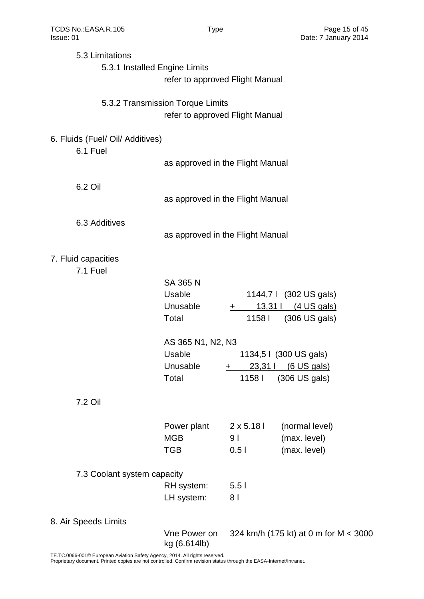| 5.3 Limitations                  |                                                                     |                              |                                          |
|----------------------------------|---------------------------------------------------------------------|------------------------------|------------------------------------------|
| 5.3.1 Installed Engine Limits    |                                                                     |                              |                                          |
|                                  | refer to approved Flight Manual                                     |                              |                                          |
|                                  | 5.3.2 Transmission Torque Limits<br>refer to approved Flight Manual |                              |                                          |
| 6. Fluids (Fuel/ Oil/ Additives) |                                                                     |                              |                                          |
| 6.1 Fuel                         |                                                                     |                              |                                          |
|                                  | as approved in the Flight Manual                                    |                              |                                          |
| 6.2 Oil                          |                                                                     |                              |                                          |
|                                  | as approved in the Flight Manual                                    |                              |                                          |
| 6.3 Additives                    |                                                                     |                              |                                          |
|                                  | as approved in the Flight Manual                                    |                              |                                          |
|                                  |                                                                     |                              |                                          |
| 7. Fluid capacities<br>7.1 Fuel  |                                                                     |                              |                                          |
|                                  | <b>SA 365 N</b>                                                     |                              |                                          |
|                                  | Usable                                                              |                              | 1144,7   (302 US gals)                   |
|                                  | Unusable                                                            | $+$                          | 13,31   (4 US gals)                      |
|                                  | Total                                                               |                              | 1158   (306 US gals)                     |
|                                  |                                                                     |                              |                                          |
|                                  | AS 365 N1, N2, N3<br>Usable                                         |                              |                                          |
|                                  |                                                                     |                              | 1134,51 (300 US gals)                    |
|                                  | Unusable<br>Total                                                   | 23,311<br>$\ddot{}$<br>11581 | $(6 \text{ US}$ gals)<br>$(306$ US gals) |
|                                  |                                                                     |                              |                                          |
| 7.2 Oil                          |                                                                     |                              |                                          |
|                                  | Power plant                                                         | $2 \times 5.18$              | (normal level)                           |
|                                  | <b>MGB</b>                                                          | 9 <sub>1</sub>               | (max. level)                             |
|                                  | <b>TGB</b>                                                          | 0.51                         | (max. level)                             |
|                                  |                                                                     |                              |                                          |
| 7.3 Coolant system capacity      |                                                                     |                              |                                          |
|                                  | RH system:                                                          | 5.5 <sub>1</sub>             |                                          |
|                                  | LH system:                                                          | 8 I                          |                                          |
| 8. Air Speeds Limits             |                                                                     |                              |                                          |
|                                  | Vne Power on<br>kg (6.614lb)                                        |                              | 324 km/h (175 kt) at 0 m for M < 3000    |

TE.TC.0066-001© European Aviation Safety Agency, 2014. All rights reserved. Proprietary document. Printed copies are not controlled. Confirm revision status through the EASA-Internet/Intranet.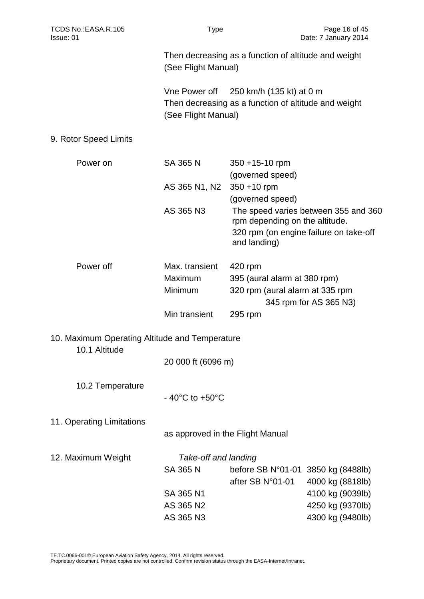| TCDS No.:EASA.R.105<br>Issue: 01                                | <b>Type</b>                          |                                                                                  | Page 16 of 45<br>Date: 7 January 2014                                          |
|-----------------------------------------------------------------|--------------------------------------|----------------------------------------------------------------------------------|--------------------------------------------------------------------------------|
|                                                                 | (See Flight Manual)                  | Then decreasing as a function of altitude and weight                             |                                                                                |
|                                                                 | Vne Power off<br>(See Flight Manual) | 250 km/h (135 kt) at 0 m<br>Then decreasing as a function of altitude and weight |                                                                                |
| 9. Rotor Speed Limits                                           |                                      |                                                                                  |                                                                                |
| Power on                                                        | SA 365 N                             | $350 + 15 - 10$ rpm<br>(governed speed)                                          |                                                                                |
|                                                                 | AS 365 N1, N2                        | 350 +10 rpm                                                                      |                                                                                |
|                                                                 | AS 365 N3                            | (governed speed)<br>rpm depending on the altitude.<br>and landing)               | The speed varies between 355 and 360<br>320 rpm (on engine failure on take-off |
| Power off                                                       | Max. transient                       | 420 rpm                                                                          |                                                                                |
|                                                                 | Maximum                              | 395 (aural alarm at 380 rpm)                                                     |                                                                                |
|                                                                 | Minimum                              | 320 rpm (aural alarm at 335 rpm                                                  | 345 rpm for AS 365 N3)                                                         |
|                                                                 | Min transient                        | 295 rpm                                                                          |                                                                                |
| 10. Maximum Operating Altitude and Temperature<br>10.1 Altitude |                                      |                                                                                  |                                                                                |
|                                                                 | 20 000 ft (6096 m)                   |                                                                                  |                                                                                |
| 10.2 Temperature                                                | $-40^{\circ}$ C to $+50^{\circ}$ C   |                                                                                  |                                                                                |
| 11. Operating Limitations                                       | as approved in the Flight Manual     |                                                                                  |                                                                                |
| 12. Maximum Weight                                              | Take-off and landing                 |                                                                                  |                                                                                |
|                                                                 | <b>SA 365 N</b>                      | before SB N°01-01 3850 kg (8488lb)<br>after SB N°01-01                           | 4000 kg (8818lb)                                                               |
|                                                                 | SA 365 N1                            |                                                                                  | 4100 kg (9039lb)                                                               |
|                                                                 | AS 365 N2                            |                                                                                  | 4250 kg (9370lb)                                                               |
|                                                                 | AS 365 N3                            |                                                                                  | 4300 kg (9480lb)                                                               |

TE.TC.0066-001© European Aviation Safety Agency, 2014. All rights reserved.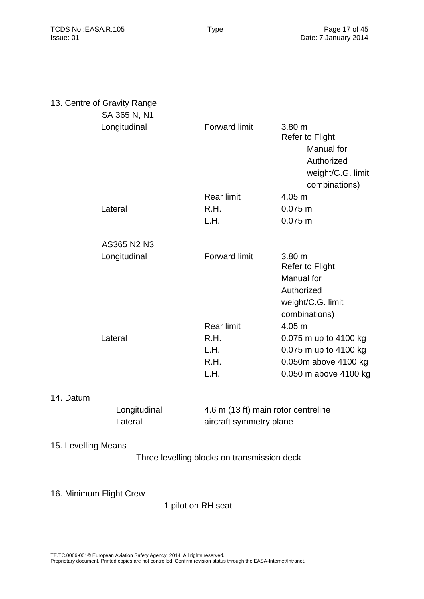|                     | 13. Centre of Gravity Range |                                     |                                                                                                               |
|---------------------|-----------------------------|-------------------------------------|---------------------------------------------------------------------------------------------------------------|
|                     | SA 365 N, N1                |                                     |                                                                                                               |
|                     | Longitudinal                | <b>Forward limit</b>                | 3.80 <sub>m</sub><br>Refer to Flight<br><b>Manual</b> for<br>Authorized<br>weight/C.G. limit<br>combinations) |
|                     |                             | <b>Rear limit</b>                   | 4.05 m                                                                                                        |
|                     | Lateral                     | R.H.                                | $0.075$ m                                                                                                     |
|                     |                             | L.H.                                | $0.075$ m                                                                                                     |
|                     | AS365 N2 N3                 |                                     |                                                                                                               |
|                     | Longitudinal                | <b>Forward limit</b>                | 3.80 m<br>Refer to Flight<br>Manual for<br>Authorized<br>weight/C.G. limit<br>combinations)                   |
|                     |                             | <b>Rear limit</b>                   | 4.05 m                                                                                                        |
|                     | Lateral                     | R.H.                                | 0.075 m up to 4100 kg                                                                                         |
|                     |                             | L.H.                                | 0.075 m up to 4100 kg                                                                                         |
|                     |                             | R.H.                                | 0.050m above 4100 kg                                                                                          |
|                     |                             | L.H.                                | 0.050 m above 4100 kg                                                                                         |
| 14. Datum           |                             |                                     |                                                                                                               |
|                     | Longitudinal                | 4.6 m (13 ft) main rotor centreline |                                                                                                               |
|                     | Lateral                     | aircraft symmetry plane             |                                                                                                               |
| 15. Levelling Means |                             |                                     |                                                                                                               |

Three levelling blocks on transmission deck

16. Minimum Flight Crew

1 pilot on RH seat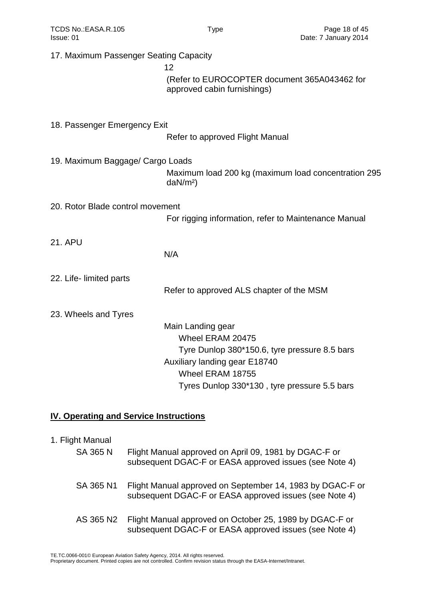| TCDS No.:EASA.R.105<br>Issue: 01    | <b>Type</b>                                                                                                                                                                                 | Page 18 of 45<br>Date: 7 January 2014               |
|-------------------------------------|---------------------------------------------------------------------------------------------------------------------------------------------------------------------------------------------|-----------------------------------------------------|
|                                     | 17. Maximum Passenger Seating Capacity<br>12                                                                                                                                                |                                                     |
|                                     | (Refer to EUROCOPTER document 365A043462 for<br>approved cabin furnishings)                                                                                                                 |                                                     |
| 18. Passenger Emergency Exit        | Refer to approved Flight Manual                                                                                                                                                             |                                                     |
| 19. Maximum Baggage/ Cargo Loads    |                                                                                                                                                                                             | Maximum load 200 kg (maximum load concentration 295 |
|                                     | $d$ aN/m <sup>2</sup> )                                                                                                                                                                     |                                                     |
| 20. Rotor Blade control movement    | For rigging information, refer to Maintenance Manual                                                                                                                                        |                                                     |
| <b>21. APU</b>                      | N/A                                                                                                                                                                                         |                                                     |
| 22. Life-limited parts              | Refer to approved ALS chapter of the MSM                                                                                                                                                    |                                                     |
| 23. Wheels and Tyres                | Main Landing gear<br>Wheel ERAM 20475<br>Tyre Dunlop 380*150.6, tyre pressure 8.5 bars<br>Auxiliary landing gear E18740<br>Wheel ERAM 18755<br>Tyres Dunlop 330*130, tyre pressure 5.5 bars |                                                     |
|                                     | <b>IV. Operating and Service Instructions</b>                                                                                                                                               |                                                     |
| 1. Flight Manual<br><b>SA 365 N</b> | Flight Manual approved on April 09, 1981 by DGAC-F or<br>subsequent DGAC-F or EASA approved issues (see Note 4)                                                                             |                                                     |

- <span id="page-17-0"></span>SA 365 N1 Flight Manual approved on September 14, 1983 by DGAC-F or subsequent DGAC-F or EASA approved issues (see Note 4)
- AS 365 N2 Flight Manual approved on October 25, 1989 by DGAC-F or subsequent DGAC-F or EASA approved issues (see Note 4)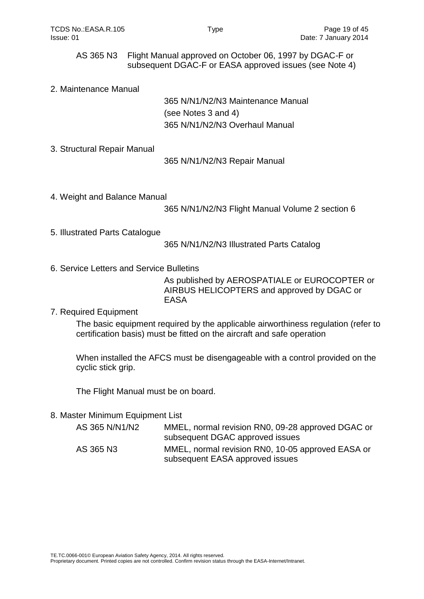AS 365 N3 Flight Manual approved on October 06, 1997 by DGAC-F or subsequent DGAC-F or EASA approved issues (see Note 4)

2. Maintenance Manual

365 N/N1/N2/N3 Maintenance Manual (see Notes 3 and 4) 365 N/N1/N2/N3 Overhaul Manual

3. Structural Repair Manual

365 N/N1/N2/N3 Repair Manual

4. Weight and Balance Manual

365 N/N1/N2/N3 Flight Manual Volume 2 section 6

5. Illustrated Parts Catalogue

365 N/N1/N2/N3 Illustrated Parts Catalog

6. Service Letters and Service Bulletins

As published by AEROSPATIALE or EUROCOPTER or AIRBUS HELICOPTERS and approved by DGAC or EASA

7. Required Equipment

The basic equipment required by the applicable airworthiness regulation (refer to certification basis) must be fitted on the aircraft and safe operation

When installed the AFCS must be disengageable with a control provided on the cyclic stick grip.

The Flight Manual must be on board.

#### 8. Master Minimum Equipment List

| AS 365 N/N1/N2 | MMEL, normal revision RN0, 09-28 approved DGAC or<br>subsequent DGAC approved issues |
|----------------|--------------------------------------------------------------------------------------|
| AS 365 N3      | MMEL, normal revision RN0, 10-05 approved EASA or<br>subsequent EASA approved issues |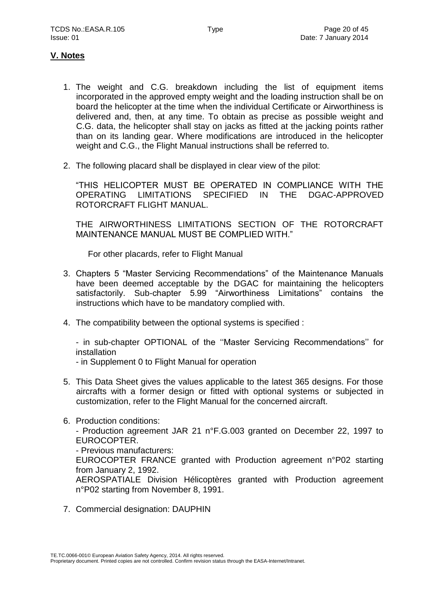# <span id="page-19-0"></span>**V. Notes**

- 1. The weight and C.G. breakdown including the list of equipment items incorporated in the approved empty weight and the loading instruction shall be on board the helicopter at the time when the individual Certificate or Airworthiness is delivered and, then, at any time. To obtain as precise as possible weight and C.G. data, the helicopter shall stay on jacks as fitted at the jacking points rather than on its landing gear. Where modifications are introduced in the helicopter weight and C.G., the Flight Manual instructions shall be referred to.
- 2. The following placard shall be displayed in clear view of the pilot:

"THIS HELICOPTER MUST BE OPERATED IN COMPLIANCE WITH THE OPERATING LIMITATIONS SPECIFIED IN THE DGAC-APPROVED ROTORCRAFT FLIGHT MANUAL.

THE AIRWORTHINESS LIMITATIONS SECTION OF THE ROTORCRAFT MAINTENANCE MANUAL MUST BE COMPLIED WITH."

For other placards, refer to Flight Manual

- 3. Chapters 5 "Master Servicing Recommendations" of the Maintenance Manuals have been deemed acceptable by the DGAC for maintaining the helicopters satisfactorily. Sub-chapter 5.99 "Airworthiness Limitations" contains the instructions which have to be mandatory complied with.
- 4. The compatibility between the optional systems is specified :

- in sub-chapter OPTIONAL of the ''Master Servicing Recommendations'' for installation

- in Supplement 0 to Flight Manual for operation
- 5. This Data Sheet gives the values applicable to the latest 365 designs. For those aircrafts with a former design or fitted with optional systems or subjected in customization, refer to the Flight Manual for the concerned aircraft.
- 6. Production conditions:

- Production agreement JAR 21 n°F.G.003 granted on December 22, 1997 to EUROCOPTER.

- Previous manufacturers:

EUROCOPTER FRANCE granted with Production agreement n°P02 starting from January 2, 1992.

AEROSPATIALE Division Hélicoptères granted with Production agreement n°P02 starting from November 8, 1991.

7. Commercial designation: DAUPHIN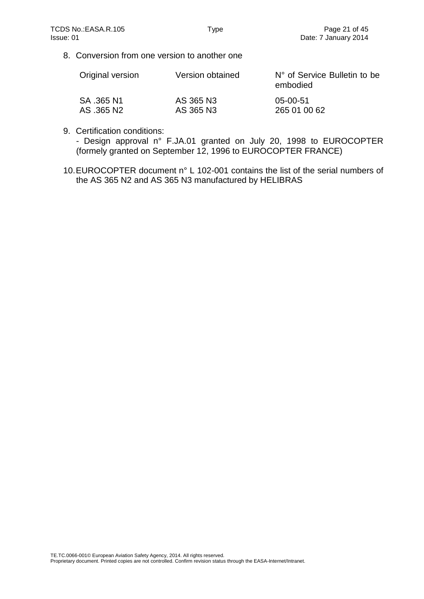8. Conversion from one version to another one

| Original version | Version obtained | N° of Service Bulletin to be<br>embodied |
|------------------|------------------|------------------------------------------|
| SA .365 N1       | AS 365 N3        | $05 - 00 - 51$                           |
| AS .365 N2       | AS 365 N3        | 265 01 00 62                             |

9. Certification conditions:

- Design approval n° F.JA.01 granted on July 20, 1998 to EUROCOPTER (formely granted on September 12, 1996 to EUROCOPTER FRANCE)

10.EUROCOPTER document n° L 102-001 contains the list of the serial numbers of the AS 365 N2 and AS 365 N3 manufactured by HELIBRAS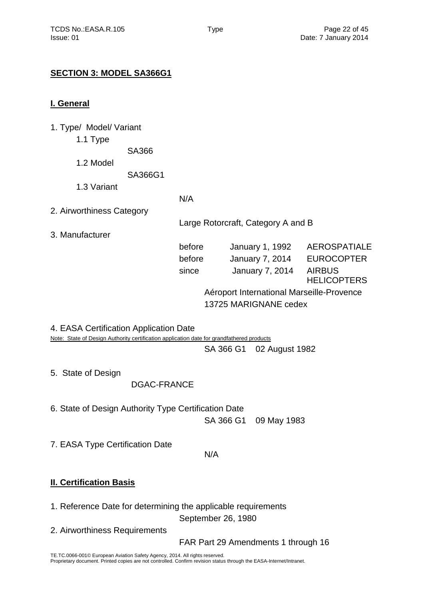# <span id="page-21-0"></span>**SECTION 3: MODEL SA366G1**

# <span id="page-21-1"></span>**I. General**

| 1. Type/ Model/ Variant                                                                                                             |                    |        |                    |                                    |                                           |
|-------------------------------------------------------------------------------------------------------------------------------------|--------------------|--------|--------------------|------------------------------------|-------------------------------------------|
| 1.1 Type                                                                                                                            |                    |        |                    |                                    |                                           |
|                                                                                                                                     | SA366              |        |                    |                                    |                                           |
| 1.2 Model                                                                                                                           |                    |        |                    |                                    |                                           |
|                                                                                                                                     | SA366G1            |        |                    |                                    |                                           |
| 1.3 Variant                                                                                                                         |                    |        |                    |                                    |                                           |
|                                                                                                                                     |                    | N/A    |                    |                                    |                                           |
| 2. Airworthiness Category                                                                                                           |                    |        |                    |                                    |                                           |
|                                                                                                                                     |                    |        |                    | Large Rotorcraft, Category A and B |                                           |
| 3. Manufacturer                                                                                                                     |                    |        |                    |                                    |                                           |
|                                                                                                                                     |                    | before |                    |                                    | January 1, 1992 AEROSPATIALE              |
|                                                                                                                                     |                    | before |                    | January 7, 2014                    | <b>EUROCOPTER</b>                         |
|                                                                                                                                     |                    | since  |                    | January 7, 2014                    | <b>AIRBUS</b><br><b>HELICOPTERS</b>       |
|                                                                                                                                     |                    |        |                    |                                    | Aéroport International Marseille-Provence |
|                                                                                                                                     |                    |        |                    | 13725 MARIGNANE cedex              |                                           |
|                                                                                                                                     |                    |        |                    |                                    |                                           |
| 4. EASA Certification Application Date<br>Note: State of Design Authority certification application date for grandfathered products |                    |        |                    |                                    |                                           |
|                                                                                                                                     |                    |        |                    | SA 366 G1 02 August 1982           |                                           |
|                                                                                                                                     |                    |        |                    |                                    |                                           |
| 5. State of Design                                                                                                                  |                    |        |                    |                                    |                                           |
|                                                                                                                                     | <b>DGAC-FRANCE</b> |        |                    |                                    |                                           |
|                                                                                                                                     |                    |        |                    |                                    |                                           |
| 6. State of Design Authority Type Certification Date                                                                                |                    |        |                    |                                    |                                           |
|                                                                                                                                     |                    |        | SA 366 G1          | 09 May 1983                        |                                           |
|                                                                                                                                     |                    |        |                    |                                    |                                           |
| 7. EASA Type Certification Date                                                                                                     |                    |        |                    |                                    |                                           |
|                                                                                                                                     |                    |        | N/A                |                                    |                                           |
|                                                                                                                                     |                    |        |                    |                                    |                                           |
| <b>II. Certification Basis</b>                                                                                                      |                    |        |                    |                                    |                                           |
|                                                                                                                                     |                    |        |                    |                                    |                                           |
| 1. Reference Date for determining the applicable requirements                                                                       |                    |        |                    |                                    |                                           |
|                                                                                                                                     |                    |        | September 26, 1980 |                                    |                                           |
| 2 Ainworthinger Poquiromonte                                                                                                        |                    |        |                    |                                    |                                           |

<span id="page-21-2"></span>2. Airworthiness Requirements

FAR Part 29 Amendments 1 through 16

TE.TC.0066-001© European Aviation Safety Agency, 2014. All rights reserved. Proprietary document. Printed copies are not controlled. Confirm revision status through the EASA-Internet/Intranet.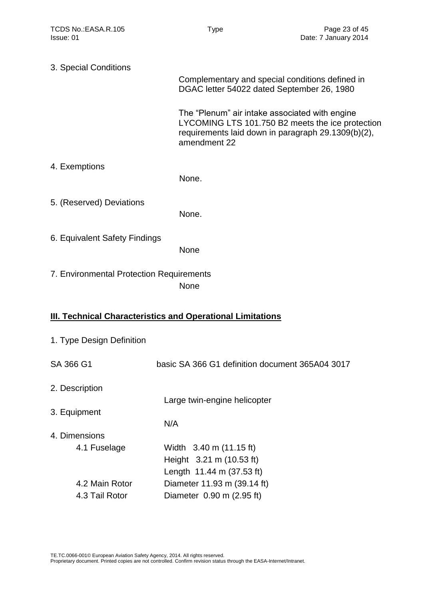<span id="page-22-0"></span>

| 3. Special Conditions                    |                                                                                                                                                                          |
|------------------------------------------|--------------------------------------------------------------------------------------------------------------------------------------------------------------------------|
|                                          | Complementary and special conditions defined in<br>DGAC letter 54022 dated September 26, 1980                                                                            |
|                                          | The "Plenum" air intake associated with engine<br>LYCOMING LTS 101.750 B2 meets the ice protection<br>requirements laid down in paragraph 29.1309(b)(2),<br>amendment 22 |
| 4. Exemptions                            | None.                                                                                                                                                                    |
| 5. (Reserved) Deviations                 | None.                                                                                                                                                                    |
| 6. Equivalent Safety Findings            | <b>None</b>                                                                                                                                                              |
| 7. Environmental Protection Requirements | <b>None</b>                                                                                                                                                              |
|                                          | <b>III. Technical Characteristics and Operational Limitations</b>                                                                                                        |
| 1. Type Design Definition                |                                                                                                                                                                          |
| SA 366 G1                                | basic SA 366 G1 definition document 365A04 3017                                                                                                                          |
| 2. Description                           | Large twin-engine helicopter                                                                                                                                             |
| 3. Equipment                             | N/A                                                                                                                                                                      |
| 4. Dimensions                            |                                                                                                                                                                          |
| 4.1 Fuselage                             | Width 3.40 m (11.15 ft)<br>Height 3.21 m (10.53 ft)<br>Length 11.44 m (37.53 ft)                                                                                         |
| 4.2 Main Rotor<br>4.3 Tail Rotor         | Diameter 11.93 m (39.14 ft)<br>Diameter 0.90 m (2.95 ft)                                                                                                                 |
|                                          |                                                                                                                                                                          |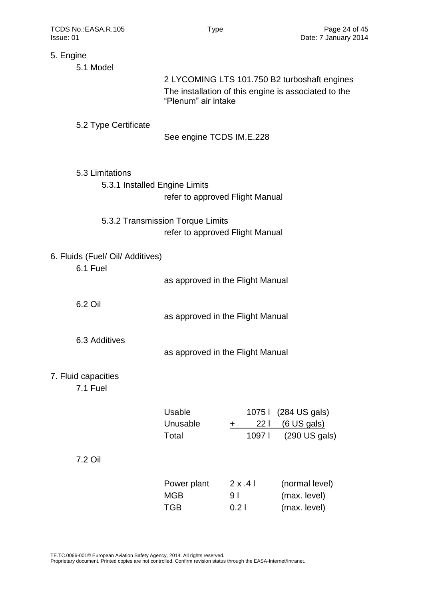| 5. Engine |                                                  |                                                                     |                                 |                                                                                                      |
|-----------|--------------------------------------------------|---------------------------------------------------------------------|---------------------------------|------------------------------------------------------------------------------------------------------|
|           | 5.1 Model                                        |                                                                     |                                 |                                                                                                      |
|           |                                                  | "Plenum" air intake                                                 |                                 | 2 LYCOMING LTS 101.750 B2 turboshaft engines<br>The installation of this engine is associated to the |
|           | 5.2 Type Certificate                             | See engine TCDS IM.E.228                                            |                                 |                                                                                                      |
|           | 5.3 Limitations<br>5.3.1 Installed Engine Limits |                                                                     |                                 |                                                                                                      |
|           |                                                  | refer to approved Flight Manual                                     |                                 |                                                                                                      |
|           |                                                  |                                                                     |                                 |                                                                                                      |
|           |                                                  | 5.3.2 Transmission Torque Limits<br>refer to approved Flight Manual |                                 |                                                                                                      |
|           | 6. Fluids (Fuel/ Oil/ Additives)<br>6.1 Fuel     |                                                                     |                                 |                                                                                                      |
|           |                                                  | as approved in the Flight Manual                                    |                                 |                                                                                                      |
|           | 6.2 Oil                                          | as approved in the Flight Manual                                    |                                 |                                                                                                      |
|           |                                                  |                                                                     |                                 |                                                                                                      |
|           | 6.3 Additives                                    | as approved in the Flight Manual                                    |                                 |                                                                                                      |
|           | 7. Fluid capacities<br>7.1 Fuel                  |                                                                     |                                 |                                                                                                      |
|           |                                                  | Usable<br>Unusable<br>Total                                         | 1075<br>221<br>+<br>10971       | $(284$ US gals)<br>$(6 \text{ US}$ gals)<br>(290 US gals)                                            |
|           | 7.2 Oil                                          |                                                                     |                                 |                                                                                                      |
|           |                                                  | Power plant<br><b>MGB</b><br><b>TGB</b>                             | 2x.41<br>9 <sub>1</sub><br>0.21 | (normal level)<br>(max. level)<br>(max. level)                                                       |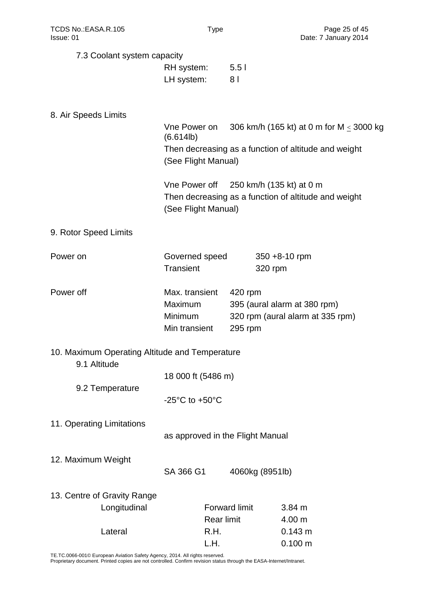| 7.3 Coolant system capacity                                    |                                                      |                          |                                                      |
|----------------------------------------------------------------|------------------------------------------------------|--------------------------|------------------------------------------------------|
|                                                                | RH system:                                           | 5.51                     |                                                      |
|                                                                | LH system:                                           | 8 <sup>1</sup>           |                                                      |
|                                                                |                                                      |                          |                                                      |
| 8. Air Speeds Limits                                           |                                                      |                          |                                                      |
|                                                                | Vne Power on<br>(6.614lb)                            |                          | 306 km/h (165 kt) at 0 m for M $\leq$ 3000 kg        |
|                                                                | (See Flight Manual)                                  |                          | Then decreasing as a function of altitude and weight |
|                                                                | Vne Power off                                        | 250 km/h (135 kt) at 0 m |                                                      |
|                                                                |                                                      |                          | Then decreasing as a function of altitude and weight |
|                                                                | (See Flight Manual)                                  |                          |                                                      |
| 9. Rotor Speed Limits                                          |                                                      |                          |                                                      |
| Power on                                                       | Governed speed                                       |                          | $350 + 8 - 10$ rpm                                   |
|                                                                | <b>Transient</b>                                     | 320 rpm                  |                                                      |
| Power off                                                      | Max. transient                                       | 420 rpm                  |                                                      |
|                                                                | Maximum                                              |                          | 395 (aural alarm at 380 rpm)                         |
|                                                                | Minimum<br>Min transient                             | 295 rpm                  | 320 rpm (aural alarm at 335 rpm)                     |
|                                                                |                                                      |                          |                                                      |
| 10. Maximum Operating Altitude and Temperature<br>9.1 Altitude |                                                      |                          |                                                      |
|                                                                | 18 000 ft (5486 m)                                   |                          |                                                      |
| 9.2 Temperature                                                | -25 $\mathrm{^{\circ}C}$ to +50 $\mathrm{^{\circ}C}$ |                          |                                                      |
| 11. Operating Limitations                                      |                                                      |                          |                                                      |
|                                                                | as approved in the Flight Manual                     |                          |                                                      |
| 12. Maximum Weight                                             |                                                      |                          |                                                      |
|                                                                | SA 366 G1                                            | 4060kg (8951lb)          |                                                      |
| 13. Centre of Gravity Range                                    |                                                      |                          |                                                      |
| Longitudinal                                                   |                                                      | <b>Forward limit</b>     | $3.84 \; m$                                          |
| Lateral                                                        | <b>Rear limit</b><br>R.H.                            |                          | 4.00 m<br>0.143 m                                    |
|                                                                | L.H.                                                 |                          | 0.100 m                                              |

TE.TC.0066-001© European Aviation Safety Agency, 2014. All rights reserved.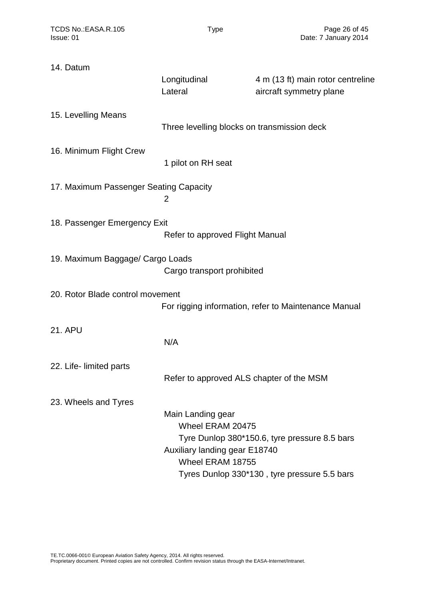<span id="page-25-0"></span>

| 14. Datum                              |                                                                                            |                                                                                               |
|----------------------------------------|--------------------------------------------------------------------------------------------|-----------------------------------------------------------------------------------------------|
|                                        | Longitudinal<br>Lateral                                                                    | 4 m (13 ft) main rotor centreline<br>aircraft symmetry plane                                  |
| 15. Levelling Means                    | Three levelling blocks on transmission deck                                                |                                                                                               |
| 16. Minimum Flight Crew                | 1 pilot on RH seat                                                                         |                                                                                               |
| 17. Maximum Passenger Seating Capacity | 2                                                                                          |                                                                                               |
| 18. Passenger Emergency Exit           | Refer to approved Flight Manual                                                            |                                                                                               |
| 19. Maximum Baggage/ Cargo Loads       | Cargo transport prohibited                                                                 |                                                                                               |
| 20. Rotor Blade control movement       |                                                                                            | For rigging information, refer to Maintenance Manual                                          |
| <b>21. APU</b>                         | N/A                                                                                        |                                                                                               |
| 22. Life- limited parts                | Refer to approved ALS chapter of the MSM                                                   |                                                                                               |
| 23. Wheels and Tyres                   | Main Landing gear<br>Wheel ERAM 20475<br>Auxiliary landing gear E18740<br>Wheel ERAM 18755 | Tyre Dunlop 380*150.6, tyre pressure 8.5 bars<br>Tyres Dunlop 330*130, tyre pressure 5.5 bars |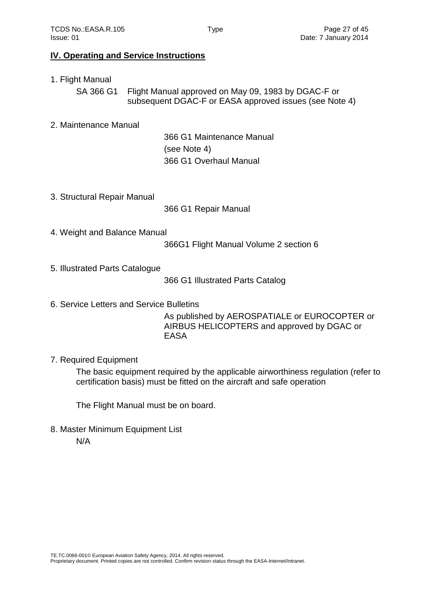#### **IV. Operating and Service Instructions**

1. Flight Manual

SA 366 G1 Flight Manual approved on May 09, 1983 by DGAC-F or subsequent DGAC-F or EASA approved issues (see Note 4)

#### 2. Maintenance Manual

366 G1 Maintenance Manual (see Note 4) 366 G1 Overhaul Manual

3. Structural Repair Manual

366 G1 Repair Manual

4. Weight and Balance Manual

366G1 Flight Manual Volume 2 section 6

5. Illustrated Parts Catalogue

366 G1 Illustrated Parts Catalog

6. Service Letters and Service Bulletins

As published by AEROSPATIALE or EUROCOPTER or AIRBUS HELICOPTERS and approved by DGAC or EASA

#### 7. Required Equipment

The basic equipment required by the applicable airworthiness regulation (refer to certification basis) must be fitted on the aircraft and safe operation

The Flight Manual must be on board.

8. Master Minimum Equipment List N/A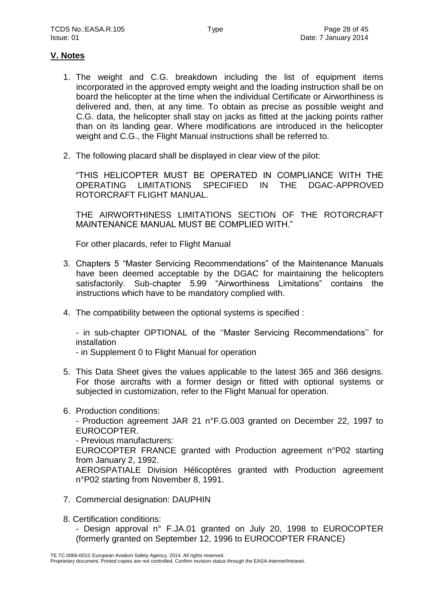# <span id="page-27-0"></span>**V. Notes**

- 1. The weight and C.G. breakdown including the list of equipment items incorporated in the approved empty weight and the loading instruction shall be on board the helicopter at the time when the individual Certificate or Airworthiness is delivered and, then, at any time. To obtain as precise as possible weight and C.G. data, the helicopter shall stay on jacks as fitted at the jacking points rather than on its landing gear. Where modifications are introduced in the helicopter weight and C.G., the Flight Manual instructions shall be referred to.
- 2. The following placard shall be displayed in clear view of the pilot:

"THIS HELICOPTER MUST BE OPERATED IN COMPLIANCE WITH THE OPERATING LIMITATIONS SPECIFIED IN THE DGAC-APPROVED ROTORCRAFT FLIGHT MANUAL.

THE AIRWORTHINESS LIMITATIONS SECTION OF THE ROTORCRAFT MAINTENANCE MANUAL MUST BE COMPLIED WITH."

For other placards, refer to Flight Manual

- 3. Chapters 5 "Master Servicing Recommendations" of the Maintenance Manuals have been deemed acceptable by the DGAC for maintaining the helicopters satisfactorily. Sub-chapter 5.99 "Airworthiness Limitations" contains the instructions which have to be mandatory complied with.
- 4. The compatibility between the optional systems is specified :

- in sub-chapter OPTIONAL of the ''Master Servicing Recommendations'' for installation

- in Supplement 0 to Flight Manual for operation
- 5. This Data Sheet gives the values applicable to the latest 365 and 366 designs. For those aircrafts with a former design or fitted with optional systems or subjected in customization, refer to the Flight Manual for operation.
- 6. Production conditions:

- Production agreement JAR 21 n°F.G.003 granted on December 22, 1997 to EUROCOPTER.

- Previous manufacturers:

EUROCOPTER FRANCE granted with Production agreement n°P02 starting from January 2, 1992.

AEROSPATIALE Division Hélicoptères granted with Production agreement n°P02 starting from November 8, 1991.

- 7. Commercial designation: DAUPHIN
- 8. Certification conditions:

- Design approval n° F.JA.01 granted on July 20, 1998 to EUROCOPTER (formerly granted on September 12, 1996 to EUROCOPTER FRANCE)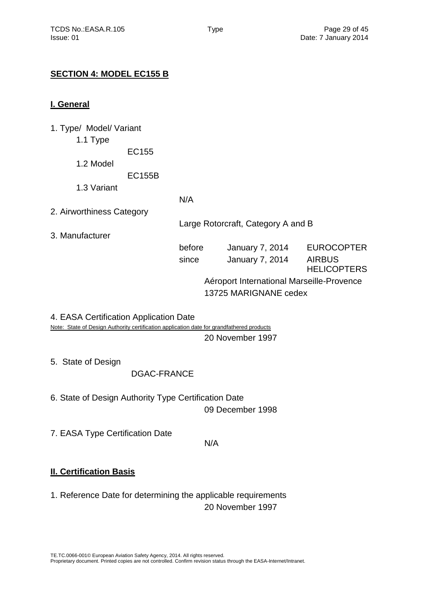### <span id="page-28-0"></span>**SECTION 4: MODEL EC155 B**

# <span id="page-28-1"></span>**I. General**

| 1. Type/ Model/ Variant                                                                   |        |                                           |                                     |
|-------------------------------------------------------------------------------------------|--------|-------------------------------------------|-------------------------------------|
| 1.1 Type                                                                                  |        |                                           |                                     |
| <b>EC155</b>                                                                              |        |                                           |                                     |
| 1.2 Model                                                                                 |        |                                           |                                     |
| <b>EC155B</b>                                                                             |        |                                           |                                     |
| 1.3 Variant                                                                               |        |                                           |                                     |
|                                                                                           | N/A    |                                           |                                     |
| 2. Airworthiness Category                                                                 |        |                                           |                                     |
|                                                                                           |        | Large Rotorcraft, Category A and B        |                                     |
| 3. Manufacturer                                                                           |        |                                           |                                     |
|                                                                                           | before | January 7, 2014                           | <b>EUROCOPTER</b>                   |
|                                                                                           | since  | January 7, 2014                           | <b>AIRBUS</b><br><b>HELICOPTERS</b> |
|                                                                                           |        | Aéroport International Marseille-Provence |                                     |
|                                                                                           |        | 13725 MARIGNANE cedex                     |                                     |
|                                                                                           |        |                                           |                                     |
| 4. EASA Certification Application Date                                                    |        |                                           |                                     |
| Note: State of Design Authority certification application date for grandfathered products |        |                                           |                                     |
|                                                                                           |        | 20 November 1997                          |                                     |
|                                                                                           |        |                                           |                                     |
| 5. State of Design                                                                        |        |                                           |                                     |
| <b>DGAC-FRANCE</b>                                                                        |        |                                           |                                     |
| 6 State of Design Authority Type Certification Date                                       |        |                                           |                                     |

6. State of Design Authority Type Certification Date 09 December 1998

7. EASA Type Certification Date

N/A

# <span id="page-28-2"></span>**II. Certification Basis**

1. Reference Date for determining the applicable requirements 20 November 1997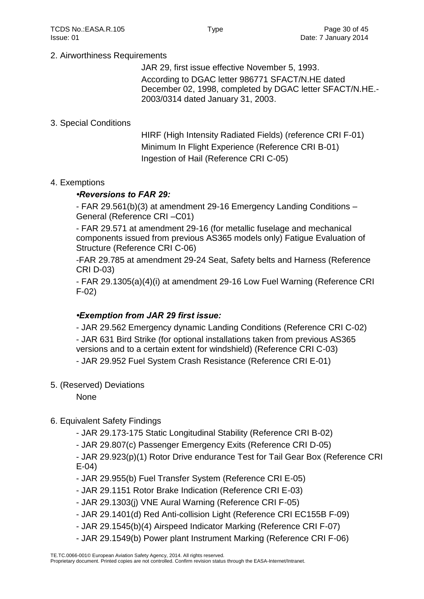# 2. Airworthiness Requirements

JAR 29, first issue effective November 5, 1993. According to DGAC letter 986771 SFACT/N.HE dated December 02, 1998, completed by DGAC letter SFACT/N.HE.- 2003/0314 dated January 31, 2003.

# 3. Special Conditions

HIRF (High Intensity Radiated Fields) (reference CRI F-01) Minimum In Flight Experience (Reference CRI B-01) Ingestion of Hail (Reference CRI C-05)

# 4. Exemptions

# *•Reversions to FAR 29:*

- FAR 29.561(b)(3) at amendment 29-16 Emergency Landing Conditions – General (Reference CRI –C01)

- FAR 29.571 at amendment 29-16 (for metallic fuselage and mechanical components issued from previous AS365 models only) Fatigue Evaluation of Structure (Reference CRI C-06)

-FAR 29.785 at amendment 29-24 Seat, Safety belts and Harness (Reference CRI D-03)

- FAR 29.1305(a)(4)(i) at amendment 29-16 Low Fuel Warning (Reference CRI F-02)

#### *•Exemption from JAR 29 first issue:*

- JAR 29.562 Emergency dynamic Landing Conditions (Reference CRI C-02)

- JAR 631 Bird Strike (for optional installations taken from previous AS365 versions and to a certain extent for windshield) (Reference CRI C-03)

- JAR 29.952 Fuel System Crash Resistance (Reference CRI E-01)

#### 5. (Reserved) Deviations

None

# 6. Equivalent Safety Findings

- JAR 29.173-175 Static Longitudinal Stability (Reference CRI B-02)
- JAR 29.807(c) Passenger Emergency Exits (Reference CRI D-05)

- JAR 29.923(p)(1) Rotor Drive endurance Test for Tail Gear Box (Reference CRI E-04)

- JAR 29.955(b) Fuel Transfer System (Reference CRI E-05)
- JAR 29.1151 Rotor Brake Indication (Reference CRI E-03)
- JAR 29.1303(j) VNE Aural Warning (Reference CRI F-05)
- JAR 29.1401(d) Red Anti-collision Light (Reference CRI EC155B F-09)
- JAR 29.1545(b)(4) Airspeed Indicator Marking (Reference CRI F-07)
- JAR 29.1549(b) Power plant Instrument Marking (Reference CRI F-06)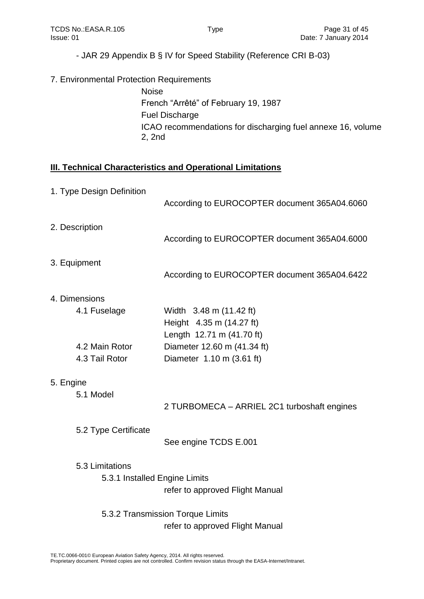- JAR 29 Appendix B § IV for Speed Stability (Reference CRI B-03)

7. Environmental Protection Requirements

Noise French "Arrêté" of February 19, 1987 Fuel Discharge ICAO recommendations for discharging fuel annexe 16, volume 2, 2nd

# <span id="page-30-0"></span>**III. Technical Characteristics and Operational Limitations**

|           | 1. Type Design Definition                        | According to EUROCOPTER document 365A04.6060                                     |
|-----------|--------------------------------------------------|----------------------------------------------------------------------------------|
|           | 2. Description                                   | According to EUROCOPTER document 365A04.6000                                     |
|           | 3. Equipment                                     | According to EUROCOPTER document 365A04.6422                                     |
|           | 4. Dimensions                                    |                                                                                  |
|           | 4.1 Fuselage                                     | Width 3.48 m (11.42 ft)<br>Height 4.35 m (14.27 ft)<br>Length 12.71 m (41.70 ft) |
|           | 4.2 Main Rotor                                   | Diameter 12.60 m (41.34 ft)                                                      |
|           | 4.3 Tail Rotor                                   | Diameter 1.10 m (3.61 ft)                                                        |
| 5. Engine |                                                  |                                                                                  |
|           | 5.1 Model                                        |                                                                                  |
|           |                                                  | 2 TURBOMECA - ARRIEL 2C1 turboshaft engines                                      |
|           | 5.2 Type Certificate                             | See engine TCDS E.001                                                            |
|           | 5.3 Limitations<br>5.3.1 Installed Engine Limits |                                                                                  |
|           |                                                  | refer to approved Flight Manual                                                  |
|           |                                                  | 5.3.2 Transmission Torque Limits<br>refer to approved Flight Manual              |
|           |                                                  |                                                                                  |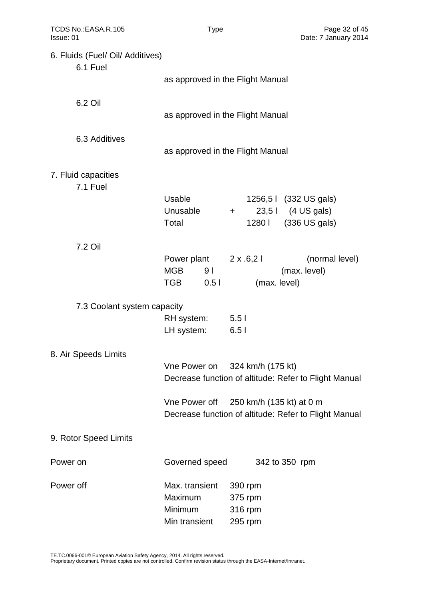| TCDS No.:EASA.R.105<br>Issue: 01             | <b>Type</b>                                                       |                                                 | Page 32 of 45<br>Date: 7 January 2014                 |
|----------------------------------------------|-------------------------------------------------------------------|-------------------------------------------------|-------------------------------------------------------|
| 6. Fluids (Fuel/ Oil/ Additives)<br>6.1 Fuel |                                                                   |                                                 |                                                       |
|                                              |                                                                   | as approved in the Flight Manual                |                                                       |
| 6.2 Oil                                      |                                                                   | as approved in the Flight Manual                |                                                       |
| 6.3 Additives                                |                                                                   | as approved in the Flight Manual                |                                                       |
| 7. Fluid capacities<br>7.1 Fuel              |                                                                   |                                                 |                                                       |
|                                              | <b>Usable</b><br>Unusable<br>Total                                | 1256,5   (332 US gals)<br>23,51<br>$+$<br>12801 | <u>(4 US gals)</u><br>$(336$ US gals)                 |
| 7.2 Oil                                      |                                                                   |                                                 |                                                       |
|                                              | Power plant<br><b>MGB</b><br>9 <sub>1</sub><br><b>TGB</b><br>0.51 | $2 \times .6,21$<br>(max. level)                | (normal level)<br>(max. level)                        |
| 7.3 Coolant system capacity                  |                                                                   |                                                 |                                                       |
|                                              | RH system:<br>LH system:                                          | 5.51<br>6.51                                    |                                                       |
| 8. Air Speeds Limits                         |                                                                   |                                                 |                                                       |
|                                              | Vne Power on                                                      | 324 km/h (175 kt)                               | Decrease function of altitude: Refer to Flight Manual |
|                                              | Vne Power off                                                     | 250 km/h (135 kt) at 0 m                        | Decrease function of altitude: Refer to Flight Manual |
| 9. Rotor Speed Limits                        |                                                                   |                                                 |                                                       |
| Power on                                     | Governed speed                                                    | 342 to 350 rpm                                  |                                                       |
| Power off                                    | Max. transient<br>Maximum<br>Minimum<br>Min transient             | 390 rpm<br>375 rpm<br>316 rpm<br>295 rpm        |                                                       |

TE.TC.0066-001© European Aviation Safety Agency, 2014. All rights reserved. Proprietary document. Printed copies are not controlled. Confirm revision status through the EASA-Internet/Intranet.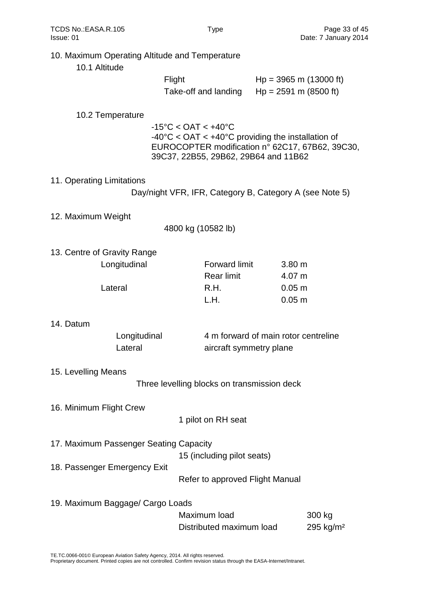|  |  | 10. Maximum Operating Altitude and Temperature |
|--|--|------------------------------------------------|
|--|--|------------------------------------------------|

10.1 Altitude

| Flight               | Hp = 3965 m $(13000 \text{ ft})$ |
|----------------------|----------------------------------|
| Take-off and landing | Hp = $2591 \text{ m}$ (8500 ft)  |

### 10.2 Temperature

 $-15^{\circ}$ C < OAT <  $+40^{\circ}$ C -40°C < OAT < +40°C providing the installation of EUROCOPTER modification n° 62C17, 67B62, 39C30, 39C37, 22B55, 29B62, 29B64 and 11B62

#### 11. Operating Limitations

Day/night VFR, IFR, Category B, Category A (see Note 5)

#### 12. Maximum Weight

```
4800 kg (10582 lb)
```

| 13. Centre of Gravity Range |  |
|-----------------------------|--|
| Longitudinal                |  |
|                             |  |
| Lateral                     |  |

| Longitudinal | <b>Forward limit</b> | 3.80 m      |
|--------------|----------------------|-------------|
|              | <b>Rear limit</b>    | 4.07 m      |
| Lateral      | R.H.                 | $0.05 \; m$ |
|              | LH.                  | $0.05 \; m$ |

#### 14. Datum

| Longitudinal | 4 m forward of main rotor centreline |
|--------------|--------------------------------------|
| Lateral      | aircraft symmetry plane              |

#### 15. Levelling Means

Three levelling blocks on transmission deck

16. Minimum Flight Crew

#### 1 pilot on RH seat

17. Maximum Passenger Seating Capacity

15 (including pilot seats)

18. Passenger Emergency Exit

Refer to approved Flight Manual

19. Maximum Baggage/ Cargo Loads

Maximum load 300 kg Distributed maximum load 295 kg/m<sup>2</sup>

TE.TC.0066-001© European Aviation Safety Agency, 2014. All rights reserved.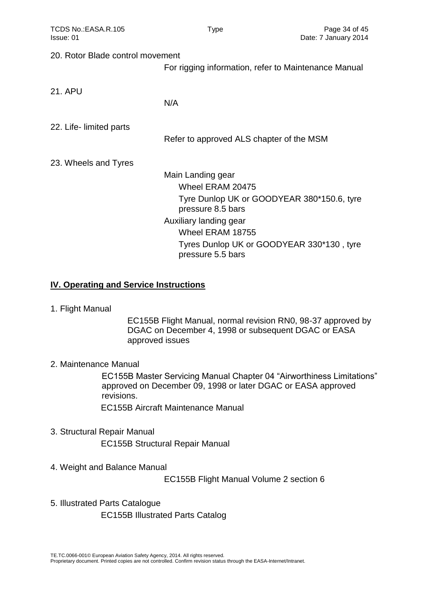| TCDS No.:EASA.R.105<br>Issue: 01 | <b>Type</b>                                                     | Page 34 of 45<br>Date: 7 January 2014 |
|----------------------------------|-----------------------------------------------------------------|---------------------------------------|
| 20. Rotor Blade control movement |                                                                 |                                       |
|                                  | For rigging information, refer to Maintenance Manual            |                                       |
| <b>21. APU</b>                   |                                                                 |                                       |
|                                  | N/A                                                             |                                       |
| 22. Life-limited parts           |                                                                 |                                       |
|                                  | Refer to approved ALS chapter of the MSM                        |                                       |
| 23. Wheels and Tyres             |                                                                 |                                       |
|                                  | Main Landing gear                                               |                                       |
|                                  | Wheel ERAM 20475                                                |                                       |
|                                  | Tyre Dunlop UK or GOODYEAR 380*150.6, tyre<br>pressure 8.5 bars |                                       |
|                                  | Auxiliary landing gear                                          |                                       |
|                                  | Wheel ERAM 18755                                                |                                       |
|                                  | Tyres Dunlop UK or GOODYEAR 330*130, tyre<br>pressure 5.5 bars  |                                       |

#### <span id="page-33-0"></span>**IV. Operating and Service Instructions**

1. Flight Manual

EC155B Flight Manual, normal revision RN0, 98-37 approved by DGAC on December 4, 1998 or subsequent DGAC or EASA approved issues

#### 2. Maintenance Manual

EC155B Master Servicing Manual Chapter 04 "Airworthiness Limitations" approved on December 09, 1998 or later DGAC or EASA approved revisions.

EC155B Aircraft Maintenance Manual

- 3. Structural Repair Manual EC155B Structural Repair Manual
- 4. Weight and Balance Manual

EC155B Flight Manual Volume 2 section 6

5. Illustrated Parts Catalogue EC155B Illustrated Parts Catalog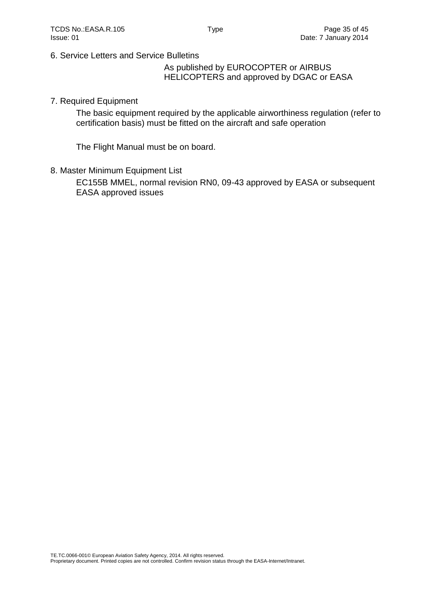6. Service Letters and Service Bulletins

As published by EUROCOPTER or AIRBUS HELICOPTERS and approved by DGAC or EASA

#### 7. Required Equipment

The basic equipment required by the applicable airworthiness regulation (refer to certification basis) must be fitted on the aircraft and safe operation

The Flight Manual must be on board.

8. Master Minimum Equipment List

EC155B MMEL, normal revision RN0, 09-43 approved by EASA or subsequent EASA approved issues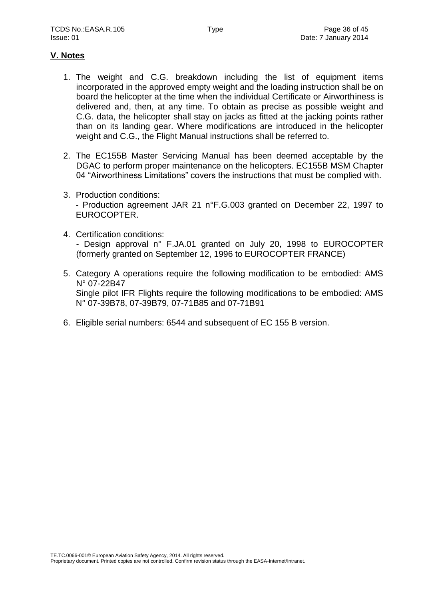# <span id="page-35-0"></span>**V. Notes**

- 1. The weight and C.G. breakdown including the list of equipment items incorporated in the approved empty weight and the loading instruction shall be on board the helicopter at the time when the individual Certificate or Airworthiness is delivered and, then, at any time. To obtain as precise as possible weight and C.G. data, the helicopter shall stay on jacks as fitted at the jacking points rather than on its landing gear. Where modifications are introduced in the helicopter weight and C.G., the Flight Manual instructions shall be referred to.
- 2. The EC155B Master Servicing Manual has been deemed acceptable by the DGAC to perform proper maintenance on the helicopters. EC155B MSM Chapter 04 "Airworthiness Limitations" covers the instructions that must be complied with.
- 3. Production conditions: - Production agreement JAR 21 n°F.G.003 granted on December 22, 1997 to EUROCOPTER.
- 4. Certification conditions: - Design approval n° F.JA.01 granted on July 20, 1998 to EUROCOPTER (formerly granted on September 12, 1996 to EUROCOPTER FRANCE)
- 5. Category A operations require the following modification to be embodied: AMS N° 07-22B47 Single pilot IFR Flights require the following modifications to be embodied: AMS N° 07-39B78, 07-39B79, 07-71B85 and 07-71B91
- 6. Eligible serial numbers: 6544 and subsequent of EC 155 B version.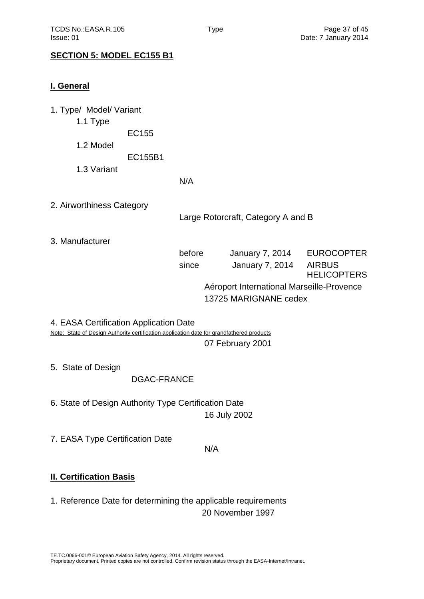#### <span id="page-36-0"></span>**SECTION 5: MODEL EC155 B1**

# <span id="page-36-1"></span>**I. General**

1. Type/ Model/ Variant 1.1 Type EC155 1.2 Model

EC155B1

1.3 Variant

N/A

2. Airworthiness Category

Large Rotorcraft, Category A and B

3. Manufacturer

before January 7, 2014 EUROCOPTER since January 7, 2014 AIRBUS **HELICOPTERS** Aéroport International Marseille-Provence 13725 MARIGNANE cedex

4. EASA Certification Application Date Note: State of Design Authority certification application date for grandfathered products 07 February 2001

5. State of Design

DGAC-FRANCE

6. State of Design Authority Type Certification Date 16 July 2002

7. EASA Type Certification Date

N/A

#### <span id="page-36-2"></span>**II. Certification Basis**

1. Reference Date for determining the applicable requirements 20 November 1997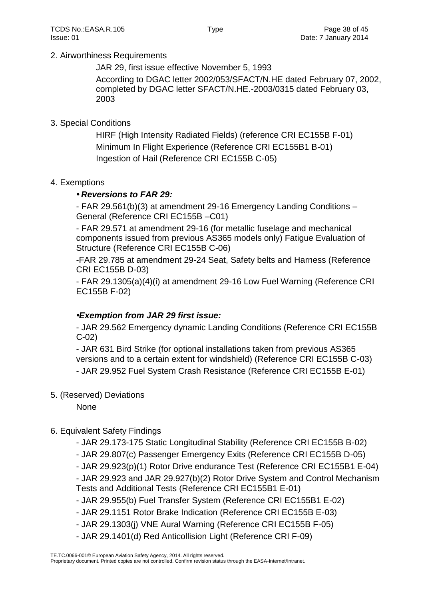# 2. Airworthiness Requirements

JAR 29, first issue effective November 5, 1993 According to DGAC letter 2002/053/SFACT/N.HE dated February 07, 2002, completed by DGAC letter SFACT/N.HE.-2003/0315 dated February 03, 2003

# 3. Special Conditions

HIRF (High Intensity Radiated Fields) (reference CRI EC155B F-01) Minimum In Flight Experience (Reference CRI EC155B1 B-01) Ingestion of Hail (Reference CRI EC155B C-05)

# 4. Exemptions

# *• Reversions to FAR 29:*

- FAR 29.561(b)(3) at amendment 29-16 Emergency Landing Conditions – General (Reference CRI EC155B –C01)

- FAR 29.571 at amendment 29-16 (for metallic fuselage and mechanical components issued from previous AS365 models only) Fatigue Evaluation of Structure (Reference CRI EC155B C-06)

-FAR 29.785 at amendment 29-24 Seat, Safety belts and Harness (Reference CRI EC155B D-03)

- FAR 29.1305(a)(4)(i) at amendment 29-16 Low Fuel Warning (Reference CRI EC155B F-02)

#### *•Exemption from JAR 29 first issue:*

- JAR 29.562 Emergency dynamic Landing Conditions (Reference CRI EC155B C-02)

- JAR 631 Bird Strike (for optional installations taken from previous AS365 versions and to a certain extent for windshield) (Reference CRI EC155B C-03) - JAR 29.952 Fuel System Crash Resistance (Reference CRI EC155B E-01)

#### 5. (Reserved) Deviations

None

# 6. Equivalent Safety Findings

- JAR 29.173-175 Static Longitudinal Stability (Reference CRI EC155B B-02)
- JAR 29.807(c) Passenger Emergency Exits (Reference CRI EC155B D-05)
- JAR 29.923(p)(1) Rotor Drive endurance Test (Reference CRI EC155B1 E-04)
- JAR 29.923 and JAR 29.927(b)(2) Rotor Drive System and Control Mechanism Tests and Additional Tests (Reference CRI EC155B1 E-01)
- JAR 29.955(b) Fuel Transfer System (Reference CRI EC155B1 E-02)
- JAR 29.1151 Rotor Brake Indication (Reference CRI EC155B E-03)
- JAR 29.1303(j) VNE Aural Warning (Reference CRI EC155B F-05)
- JAR 29.1401(d) Red Anticollision Light (Reference CRI F-09)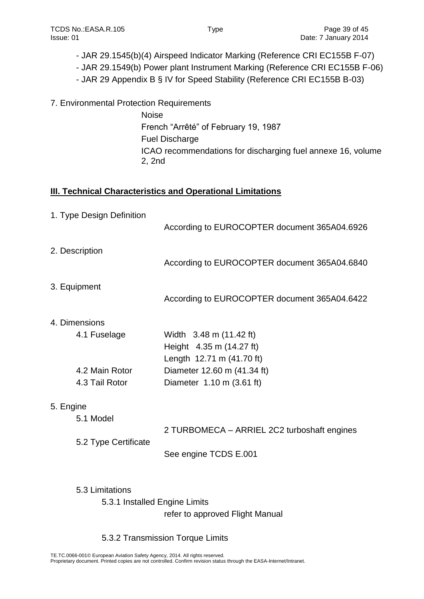- JAR 29.1545(b)(4) Airspeed Indicator Marking (Reference CRI EC155B F-07)
- JAR 29.1549(b) Power plant Instrument Marking (Reference CRI EC155B F-06)
- JAR 29 Appendix B § IV for Speed Stability (Reference CRI EC155B B-03)

7. Environmental Protection Requirements

Noise French "Arrêté" of February 19, 1987 Fuel Discharge ICAO recommendations for discharging fuel annexe 16, volume 2, 2nd

# <span id="page-38-0"></span>**III. Technical Characteristics and Operational Limitations**

|                | 1. Type Design Definition | According to EUROCOPTER document 365A04.6926 |
|----------------|---------------------------|----------------------------------------------|
| 2. Description |                           | According to EUROCOPTER document 365A04.6840 |
| 3. Equipment   |                           | According to EUROCOPTER document 365A04.6422 |
| 4. Dimensions  |                           |                                              |
|                | 4.1 Fuselage              | Width 3.48 m (11.42 ft)                      |
|                |                           | Height 4.35 m (14.27 ft)                     |
|                |                           | Length 12.71 m (41.70 ft)                    |
|                | 4.2 Main Rotor            | Diameter 12.60 m (41.34 ft)                  |
|                | 4.3 Tail Rotor            | Diameter 1.10 m (3.61 ft)                    |
| 5. Engine      |                           |                                              |
|                | 5.1 Model                 |                                              |
|                |                           | 2 TURBOMECA – ARRIEL 2C2 turboshaft engines  |
|                | 5.2 Type Certificate      |                                              |
|                |                           | See engine TCDS E.001                        |

5.3 Limitations

5.3.1 Installed Engine Limits

refer to approved Flight Manual

5.3.2 Transmission Torque Limits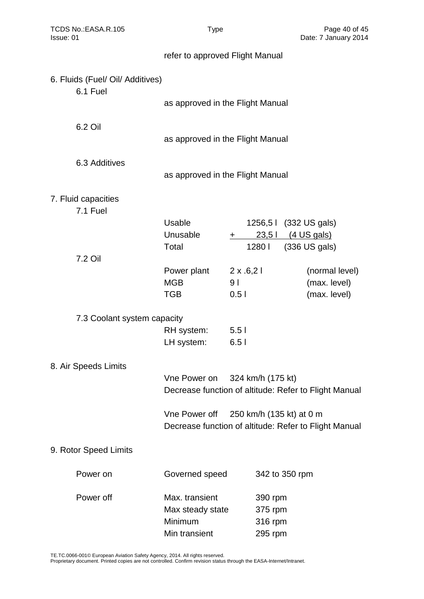| TCDS No.:EASA.R.105<br>Issue: 01             | <b>Type</b>                             |                                            |                    | Page 40 of 45<br>Date: 7 January 2014                                             |
|----------------------------------------------|-----------------------------------------|--------------------------------------------|--------------------|-----------------------------------------------------------------------------------|
|                                              | refer to approved Flight Manual         |                                            |                    |                                                                                   |
| 6. Fluids (Fuel/ Oil/ Additives)<br>6.1 Fuel |                                         |                                            |                    |                                                                                   |
|                                              | as approved in the Flight Manual        |                                            |                    |                                                                                   |
| 6.2 Oil                                      | as approved in the Flight Manual        |                                            |                    |                                                                                   |
| 6.3 Additives                                |                                         |                                            |                    |                                                                                   |
|                                              | as approved in the Flight Manual        |                                            |                    |                                                                                   |
| 7. Fluid capacities<br>7.1 Fuel              |                                         |                                            |                    |                                                                                   |
|                                              | Usable<br>Unusable<br>Total             | +                                          | 12801              | 1256,5   (332 US gals)<br>23,5   (4 US gals)<br>(336 US gals)                     |
| 7.2 Oil                                      |                                         |                                            |                    |                                                                                   |
|                                              | Power plant<br><b>MGB</b><br><b>TGB</b> | $2 \times .6,21$<br>9 <sub>1</sub><br>0.51 |                    | (normal level)<br>(max. level)<br>(max. level)                                    |
| 7.3 Coolant system capacity                  |                                         |                                            |                    |                                                                                   |
|                                              | RH system:<br>LH system:                | 5.51<br>6.51                               |                    |                                                                                   |
| 8. Air Speeds Limits                         |                                         |                                            |                    |                                                                                   |
|                                              | Vne Power on                            |                                            | 324 km/h (175 kt)  | Decrease function of altitude: Refer to Flight Manual                             |
|                                              | Vne Power off                           |                                            |                    | 250 km/h (135 kt) at 0 m<br>Decrease function of altitude: Refer to Flight Manual |
| 9. Rotor Speed Limits                        |                                         |                                            |                    |                                                                                   |
| Power on                                     | Governed speed                          |                                            |                    | 342 to 350 rpm                                                                    |
| Power off                                    | Max. transient                          |                                            | 390 rpm            |                                                                                   |
|                                              | Max steady state                        |                                            | 375 rpm            |                                                                                   |
|                                              | Minimum<br>Min transient                |                                            | 316 rpm<br>295 rpm |                                                                                   |
|                                              |                                         |                                            |                    |                                                                                   |

TE.TC.0066-001© European Aviation Safety Agency, 2014. All rights reserved.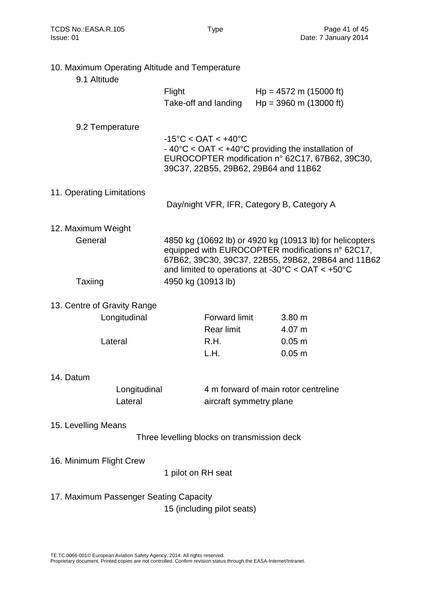| 10. Maximum Operating Altitude and Temperature<br>9.1 Altitude       |                                                                                                                                                                                                                                            |                                                                                                                          |  |
|----------------------------------------------------------------------|--------------------------------------------------------------------------------------------------------------------------------------------------------------------------------------------------------------------------------------------|--------------------------------------------------------------------------------------------------------------------------|--|
|                                                                      | Flight<br>Take-off and landing                                                                                                                                                                                                             | Hp = $4572$ m (15000 ft)<br>Hp = 3960 m $(13000 \text{ ft})$                                                             |  |
| 9.2 Temperature                                                      |                                                                                                                                                                                                                                            |                                                                                                                          |  |
|                                                                      | $-15^{\circ}$ C < OAT < $+40^{\circ}$ C<br>39C37, 22B55, 29B62, 29B64 and 11B62                                                                                                                                                            | $-40^{\circ}$ C < OAT < $+40^{\circ}$ C providing the installation of<br>EUROCOPTER modification n° 62C17, 67B62, 39C30, |  |
| 11. Operating Limitations                                            |                                                                                                                                                                                                                                            | Day/night VFR, IFR, Category B, Category A                                                                               |  |
| 12. Maximum Weight                                                   |                                                                                                                                                                                                                                            |                                                                                                                          |  |
| General                                                              | 4850 kg (10692 lb) or 4920 kg (10913 lb) for helicopters<br>equipped with EUROCOPTER modifications n° 62C17,<br>67B62, 39C30, 39C37, 22B55, 29B62, 29B64 and 11B62<br>and limited to operations at -30 $\degree$ C < OAT < +50 $\degree$ C |                                                                                                                          |  |
| Taxiing                                                              | 4950 kg (10913 lb)                                                                                                                                                                                                                         |                                                                                                                          |  |
| 13. Centre of Gravity Range                                          |                                                                                                                                                                                                                                            |                                                                                                                          |  |
| Longitudinal                                                         | Forward limit                                                                                                                                                                                                                              | 3.80 <sub>m</sub>                                                                                                        |  |
|                                                                      | <b>Rear limit</b>                                                                                                                                                                                                                          | 4.07 m                                                                                                                   |  |
| Lateral                                                              | R.H.                                                                                                                                                                                                                                       | 0.05 m                                                                                                                   |  |
|                                                                      | L.H.                                                                                                                                                                                                                                       | 0.05 m                                                                                                                   |  |
| 14. Datum                                                            |                                                                                                                                                                                                                                            |                                                                                                                          |  |
| Longitudinal<br>Lateral                                              |                                                                                                                                                                                                                                            | 4 m forward of main rotor centreline<br>aircraft symmetry plane                                                          |  |
| 15. Levelling Means<br>Three levelling blocks on transmission deck   |                                                                                                                                                                                                                                            |                                                                                                                          |  |
| 16. Minimum Flight Crew                                              | 1 pilot on RH seat                                                                                                                                                                                                                         |                                                                                                                          |  |
| 17. Maximum Passenger Seating Capacity<br>15 (including pilot seats) |                                                                                                                                                                                                                                            |                                                                                                                          |  |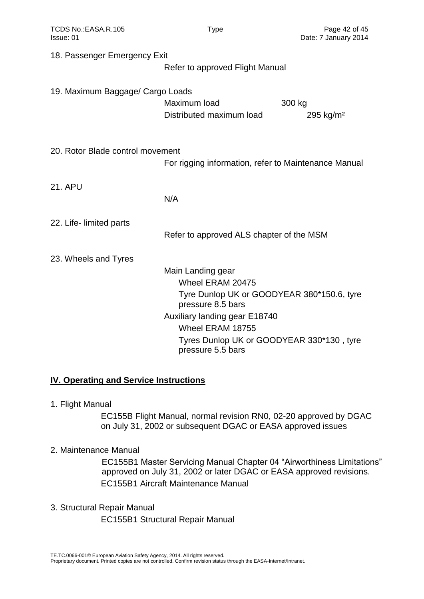| TCDS No.:EASA.R.105<br>Issue: 01 | <b>Type</b>                                                     | Page 42 of 45<br>Date: 7 January 2014 |
|----------------------------------|-----------------------------------------------------------------|---------------------------------------|
| 18. Passenger Emergency Exit     |                                                                 |                                       |
|                                  | Refer to approved Flight Manual                                 |                                       |
| 19. Maximum Baggage/ Cargo Loads |                                                                 |                                       |
|                                  | Maximum load                                                    | 300 kg                                |
|                                  | Distributed maximum load                                        | 295 kg/m <sup>2</sup>                 |
|                                  |                                                                 |                                       |
| 20. Rotor Blade control movement |                                                                 |                                       |
|                                  | For rigging information, refer to Maintenance Manual            |                                       |
| <b>21. APU</b>                   |                                                                 |                                       |
|                                  | N/A                                                             |                                       |
| 22. Life-limited parts           |                                                                 |                                       |
|                                  | Refer to approved ALS chapter of the MSM                        |                                       |
| 23. Wheels and Tyres             |                                                                 |                                       |
|                                  | Main Landing gear                                               |                                       |
|                                  | Wheel ERAM 20475                                                |                                       |
|                                  | Tyre Dunlop UK or GOODYEAR 380*150.6, tyre<br>pressure 8.5 bars |                                       |
|                                  | Auxiliary landing gear E18740                                   |                                       |
|                                  | Wheel ERAM 18755                                                |                                       |
|                                  | Tyres Dunlop UK or GOODYEAR 330*130, tyre<br>pressure 5.5 bars  |                                       |

#### <span id="page-41-0"></span>**IV. Operating and Service Instructions**

1. Flight Manual

EC155B Flight Manual, normal revision RN0, 02-20 approved by DGAC on July 31, 2002 or subsequent DGAC or EASA approved issues

#### 2. Maintenance Manual

EC155B1 Master Servicing Manual Chapter 04 "Airworthiness Limitations" approved on July 31, 2002 or later DGAC or EASA approved revisions. EC155B1 Aircraft Maintenance Manual

3. Structural Repair Manual EC155B1 Structural Repair Manual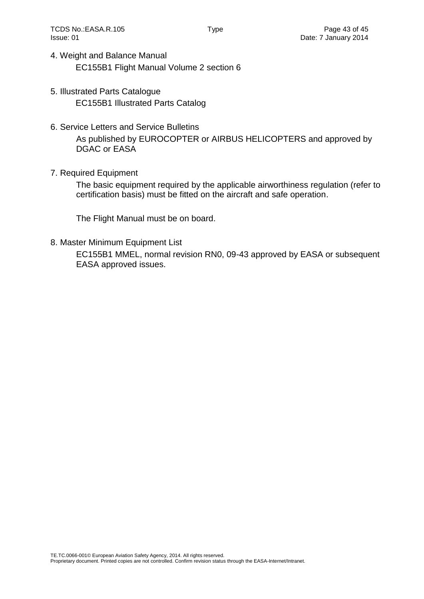- 4. Weight and Balance Manual EC155B1 Flight Manual Volume 2 section 6
- 5. Illustrated Parts Catalogue EC155B1 Illustrated Parts Catalog
- 6. Service Letters and Service Bulletins As published by EUROCOPTER or AIRBUS HELICOPTERS and approved by DGAC or EASA
- 7. Required Equipment

The basic equipment required by the applicable airworthiness regulation (refer to certification basis) must be fitted on the aircraft and safe operation.

The Flight Manual must be on board.

8. Master Minimum Equipment List

EC155B1 MMEL, normal revision RN0, 09-43 approved by EASA or subsequent EASA approved issues.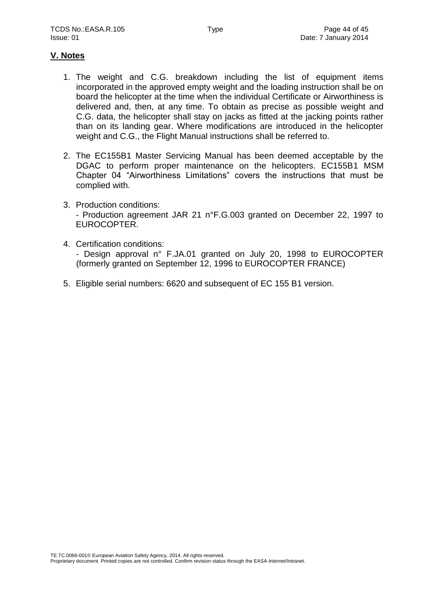# <span id="page-43-0"></span>**V. Notes**

- 1. The weight and C.G. breakdown including the list of equipment items incorporated in the approved empty weight and the loading instruction shall be on board the helicopter at the time when the individual Certificate or Airworthiness is delivered and, then, at any time. To obtain as precise as possible weight and C.G. data, the helicopter shall stay on jacks as fitted at the jacking points rather than on its landing gear. Where modifications are introduced in the helicopter weight and C.G., the Flight Manual instructions shall be referred to.
- 2. The EC155B1 Master Servicing Manual has been deemed acceptable by the DGAC to perform proper maintenance on the helicopters. EC155B1 MSM Chapter 04 "Airworthiness Limitations" covers the instructions that must be complied with.
- 3. Production conditions: - Production agreement JAR 21 n°F.G.003 granted on December 22, 1997 to EUROCOPTER.
- 4. Certification conditions: - Design approval n° F.JA.01 granted on July 20, 1998 to EUROCOPTER (formerly granted on September 12, 1996 to EUROCOPTER FRANCE)
- 5. Eligible serial numbers: 6620 and subsequent of EC 155 B1 version.